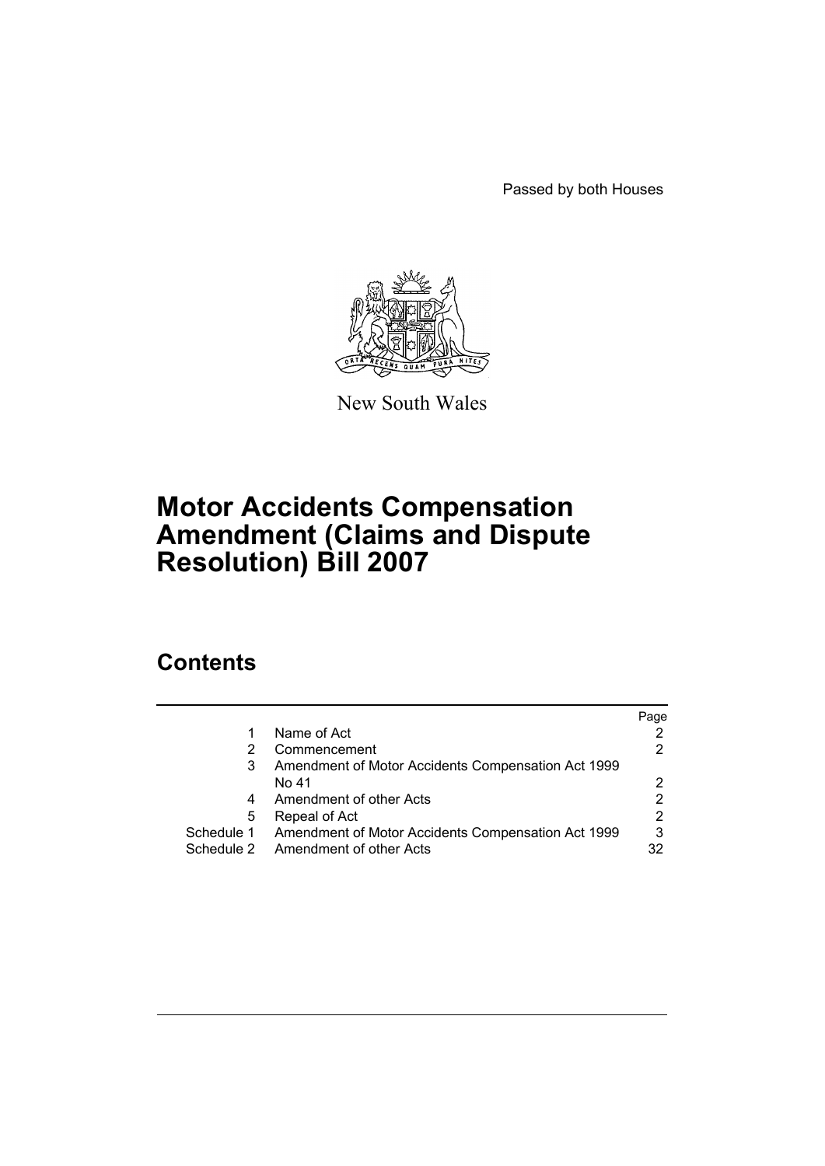Passed by both Houses



New South Wales

# **Motor Accidents Compensation Amendment (Claims and Dispute Resolution) Bill 2007**

# **Contents**

|   |                                                               | Page |
|---|---------------------------------------------------------------|------|
| 1 | Name of Act                                                   |      |
| 2 | Commencement                                                  |      |
| 3 | Amendment of Motor Accidents Compensation Act 1999            |      |
|   | No 41                                                         |      |
| 4 | Amendment of other Acts                                       |      |
| 5 | Repeal of Act                                                 | 2    |
|   | Schedule 1 Amendment of Motor Accidents Compensation Act 1999 | 3    |
|   | Schedule 2 Amendment of other Acts                            | 32   |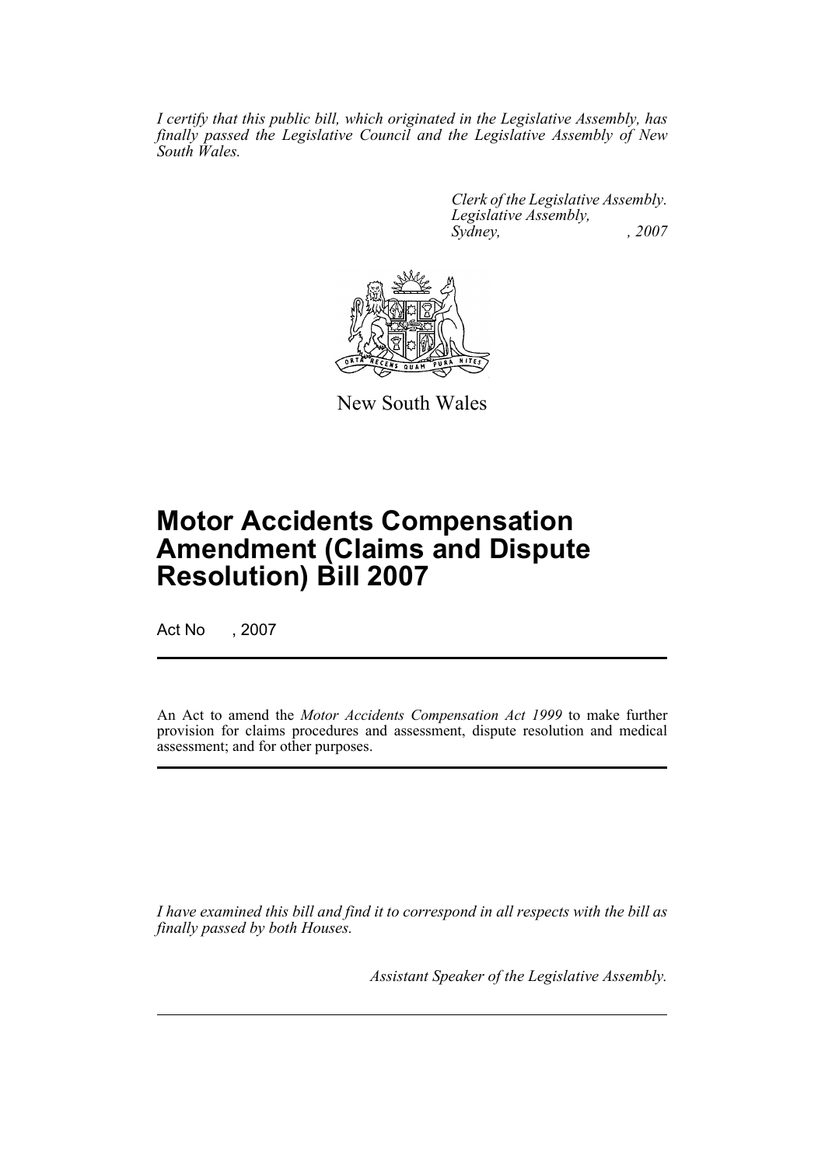*I certify that this public bill, which originated in the Legislative Assembly, has finally passed the Legislative Council and the Legislative Assembly of New South Wales.*

> *Clerk of the Legislative Assembly. Legislative Assembly, Sydney, , 2007*



New South Wales

# **Motor Accidents Compensation Amendment (Claims and Dispute Resolution) Bill 2007**

Act No , 2007

An Act to amend the *Motor Accidents Compensation Act 1999* to make further provision for claims procedures and assessment, dispute resolution and medical assessment; and for other purposes.

*I have examined this bill and find it to correspond in all respects with the bill as finally passed by both Houses.*

*Assistant Speaker of the Legislative Assembly.*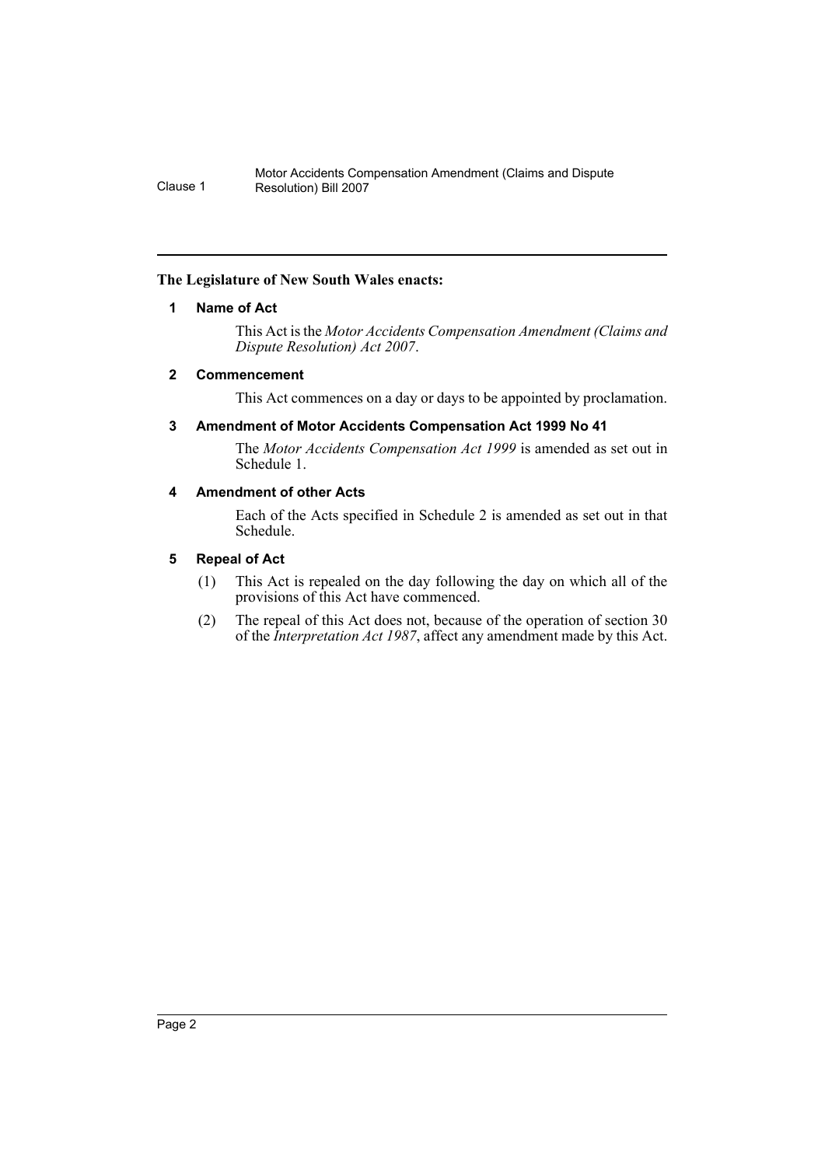# <span id="page-2-0"></span>**The Legislature of New South Wales enacts:**

# **1 Name of Act**

This Act is the *Motor Accidents Compensation Amendment (Claims and Dispute Resolution) Act 2007*.

# <span id="page-2-1"></span>**2 Commencement**

This Act commences on a day or days to be appointed by proclamation.

# <span id="page-2-2"></span>**3 Amendment of Motor Accidents Compensation Act 1999 No 41**

The *Motor Accidents Compensation Act 1999* is amended as set out in Schedule 1.

# <span id="page-2-3"></span>**4 Amendment of other Acts**

Each of the Acts specified in Schedule 2 is amended as set out in that Schedule.

# <span id="page-2-4"></span>**5 Repeal of Act**

- (1) This Act is repealed on the day following the day on which all of the provisions of this Act have commenced.
- (2) The repeal of this Act does not, because of the operation of section 30 of the *Interpretation Act 1987*, affect any amendment made by this Act.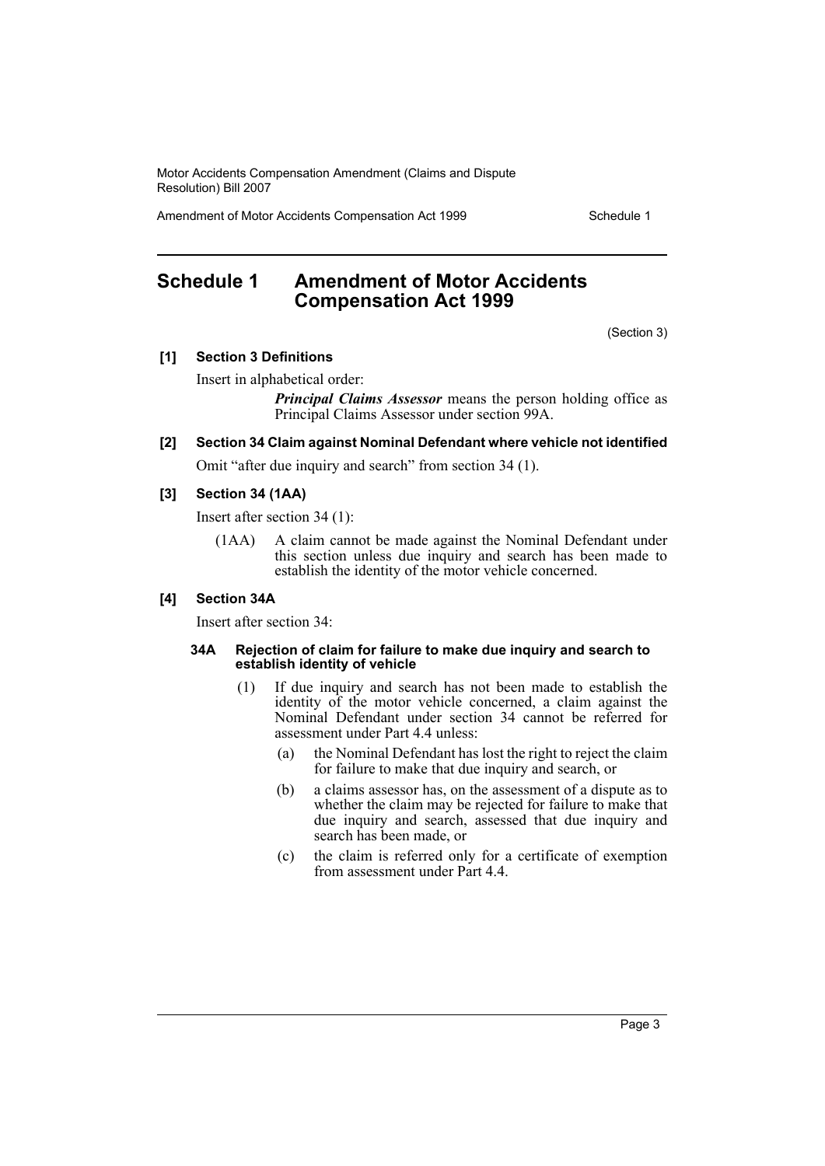Amendment of Motor Accidents Compensation Act 1999 Schedule 1

# <span id="page-3-0"></span>**Schedule 1 Amendment of Motor Accidents Compensation Act 1999**

(Section 3)

#### **[1] Section 3 Definitions**

Insert in alphabetical order:

*Principal Claims Assessor* means the person holding office as Principal Claims Assessor under section 99A.

**[2] Section 34 Claim against Nominal Defendant where vehicle not identified**

Omit "after due inquiry and search" from section 34 (1).

## **[3] Section 34 (1AA)**

Insert after section 34 (1):

(1AA) A claim cannot be made against the Nominal Defendant under this section unless due inquiry and search has been made to establish the identity of the motor vehicle concerned.

#### **[4] Section 34A**

Insert after section 34:

#### **34A Rejection of claim for failure to make due inquiry and search to establish identity of vehicle**

- (1) If due inquiry and search has not been made to establish the identity of the motor vehicle concerned, a claim against the Nominal Defendant under section 34 cannot be referred for assessment under Part 4.4 unless:
	- (a) the Nominal Defendant has lost the right to reject the claim for failure to make that due inquiry and search, or
	- (b) a claims assessor has, on the assessment of a dispute as to whether the claim may be rejected for failure to make that due inquiry and search, assessed that due inquiry and search has been made, or
	- (c) the claim is referred only for a certificate of exemption from assessment under Part 4.4.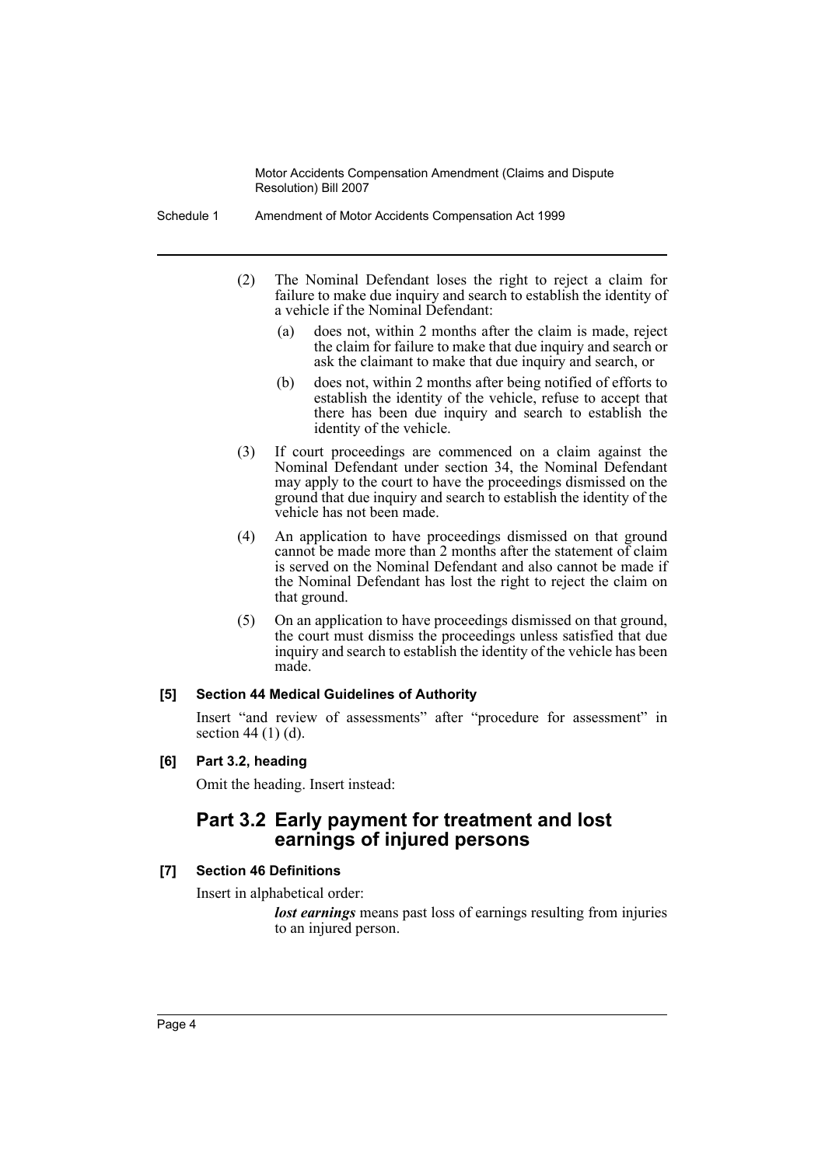Schedule 1 Amendment of Motor Accidents Compensation Act 1999

- (2) The Nominal Defendant loses the right to reject a claim for failure to make due inquiry and search to establish the identity of a vehicle if the Nominal Defendant:
	- (a) does not, within 2 months after the claim is made, reject the claim for failure to make that due inquiry and search or ask the claimant to make that due inquiry and search, or
	- (b) does not, within 2 months after being notified of efforts to establish the identity of the vehicle, refuse to accept that there has been due inquiry and search to establish the identity of the vehicle.
- (3) If court proceedings are commenced on a claim against the Nominal Defendant under section 34, the Nominal Defendant may apply to the court to have the proceedings dismissed on the ground that due inquiry and search to establish the identity of the vehicle has not been made.
- (4) An application to have proceedings dismissed on that ground cannot be made more than 2 months after the statement of claim is served on the Nominal Defendant and also cannot be made if the Nominal Defendant has lost the right to reject the claim on that ground.
- (5) On an application to have proceedings dismissed on that ground, the court must dismiss the proceedings unless satisfied that due inquiry and search to establish the identity of the vehicle has been made.

# **[5] Section 44 Medical Guidelines of Authority**

Insert "and review of assessments" after "procedure for assessment" in section 44 (1) (d).

# **[6] Part 3.2, heading**

Omit the heading. Insert instead:

# **Part 3.2 Early payment for treatment and lost earnings of injured persons**

# **[7] Section 46 Definitions**

Insert in alphabetical order:

*lost earnings* means past loss of earnings resulting from injuries to an injured person.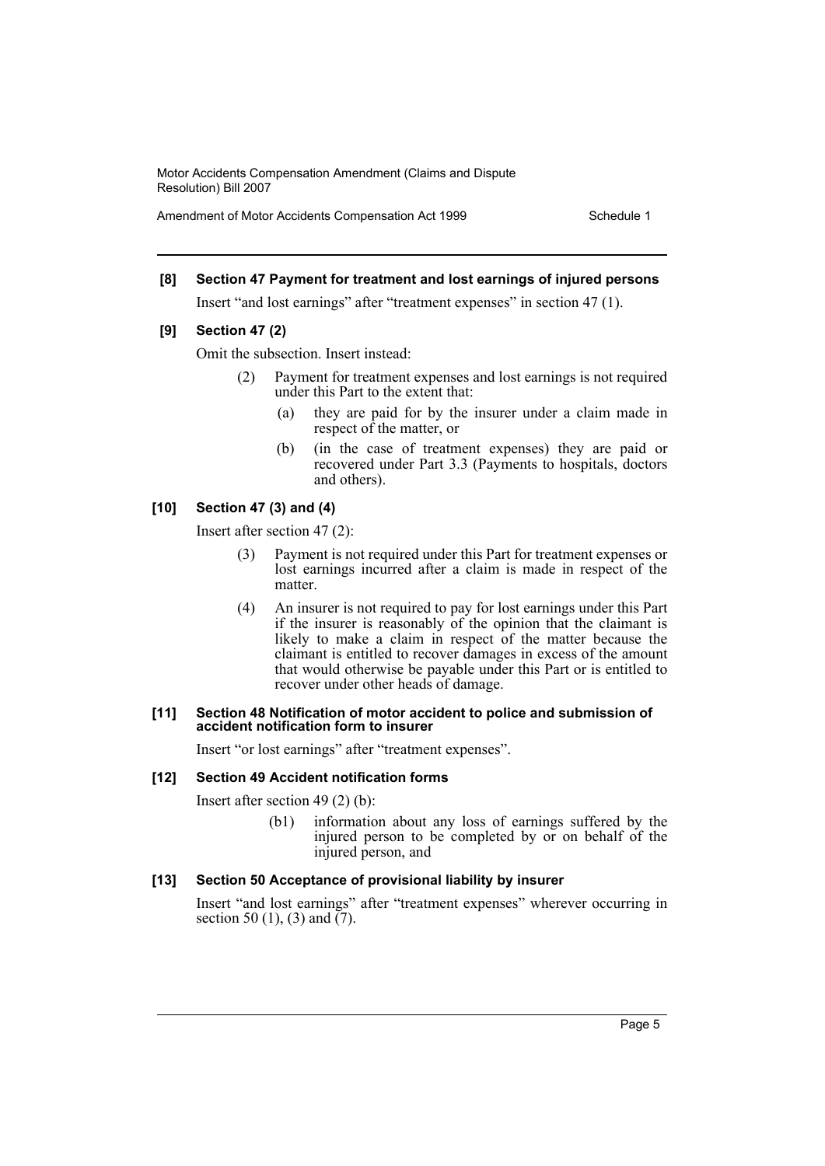Amendment of Motor Accidents Compensation Act 1999 Schedule 1

# **[8] Section 47 Payment for treatment and lost earnings of injured persons**

Insert "and lost earnings" after "treatment expenses" in section 47 (1).

#### **[9] Section 47 (2)**

Omit the subsection. Insert instead:

- (2) Payment for treatment expenses and lost earnings is not required under this Part to the extent that:
	- (a) they are paid for by the insurer under a claim made in respect of the matter, or
	- (b) (in the case of treatment expenses) they are paid or recovered under Part 3.3 (Payments to hospitals, doctors and others).

# **[10] Section 47 (3) and (4)**

Insert after section 47 (2):

- (3) Payment is not required under this Part for treatment expenses or lost earnings incurred after a claim is made in respect of the matter.
- (4) An insurer is not required to pay for lost earnings under this Part if the insurer is reasonably of the opinion that the claimant is likely to make a claim in respect of the matter because the claimant is entitled to recover damages in excess of the amount that would otherwise be payable under this Part or is entitled to recover under other heads of damage.

#### **[11] Section 48 Notification of motor accident to police and submission of accident notification form to insurer**

Insert "or lost earnings" after "treatment expenses".

# **[12] Section 49 Accident notification forms**

Insert after section 49 (2) (b):

(b1) information about any loss of earnings suffered by the injured person to be completed by or on behalf of the injured person, and

# **[13] Section 50 Acceptance of provisional liability by insurer**

Insert "and lost earnings" after "treatment expenses" wherever occurring in section 50 (1), (3) and  $(7)$ .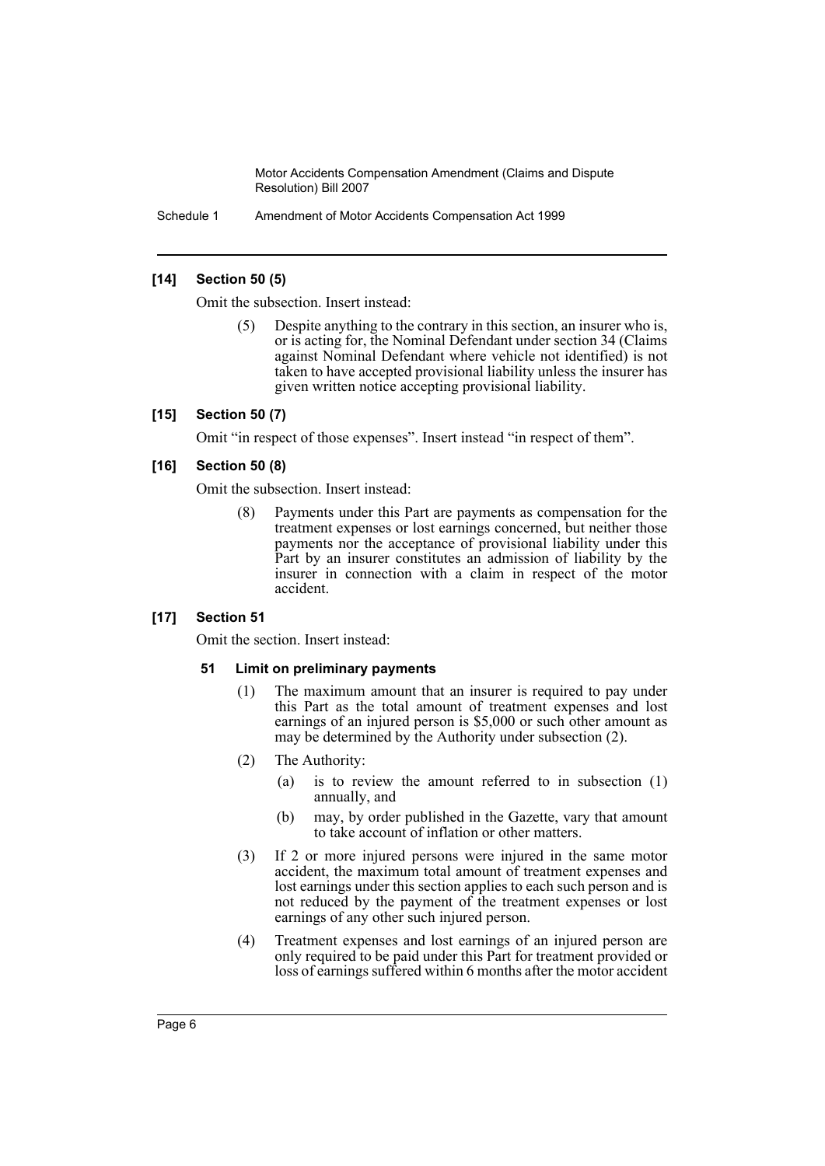Schedule 1 Amendment of Motor Accidents Compensation Act 1999

## **[14] Section 50 (5)**

Omit the subsection. Insert instead:

Despite anything to the contrary in this section, an insurer who is, or is acting for, the Nominal Defendant under section 34 (Claims against Nominal Defendant where vehicle not identified) is not taken to have accepted provisional liability unless the insurer has given written notice accepting provisional liability.

# **[15] Section 50 (7)**

Omit "in respect of those expenses". Insert instead "in respect of them".

#### **[16] Section 50 (8)**

Omit the subsection. Insert instead:

(8) Payments under this Part are payments as compensation for the treatment expenses or lost earnings concerned, but neither those payments nor the acceptance of provisional liability under this Part by an insurer constitutes an admission of liability by the insurer in connection with a claim in respect of the motor accident.

# **[17] Section 51**

Omit the section. Insert instead:

#### **51 Limit on preliminary payments**

- (1) The maximum amount that an insurer is required to pay under this Part as the total amount of treatment expenses and lost earnings of an injured person is \$5,000 or such other amount as may be determined by the Authority under subsection (2).
- (2) The Authority:
	- (a) is to review the amount referred to in subsection (1) annually, and
	- (b) may, by order published in the Gazette, vary that amount to take account of inflation or other matters.
- (3) If 2 or more injured persons were injured in the same motor accident, the maximum total amount of treatment expenses and lost earnings under this section applies to each such person and is not reduced by the payment of the treatment expenses or lost earnings of any other such injured person.
- (4) Treatment expenses and lost earnings of an injured person are only required to be paid under this Part for treatment provided or loss of earnings suffered within 6 months after the motor accident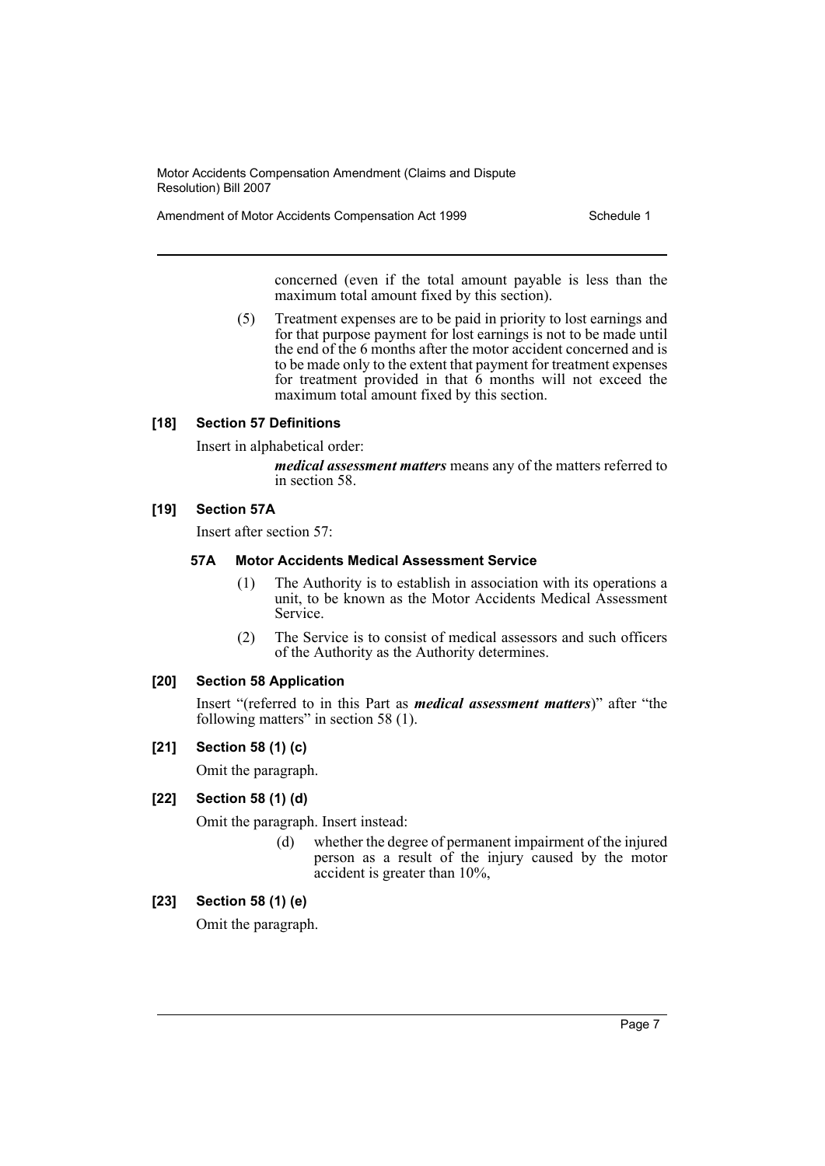Amendment of Motor Accidents Compensation Act 1999 Schedule 1

concerned (even if the total amount payable is less than the maximum total amount fixed by this section).

(5) Treatment expenses are to be paid in priority to lost earnings and for that purpose payment for lost earnings is not to be made until the end of the 6 months after the motor accident concerned and is to be made only to the extent that payment for treatment expenses for treatment provided in that 6 months will not exceed the maximum total amount fixed by this section.

#### **[18] Section 57 Definitions**

Insert in alphabetical order:

*medical assessment matters* means any of the matters referred to in section 58.

### **[19] Section 57A**

Insert after section 57:

#### **57A Motor Accidents Medical Assessment Service**

- (1) The Authority is to establish in association with its operations a unit, to be known as the Motor Accidents Medical Assessment Service.
- (2) The Service is to consist of medical assessors and such officers of the Authority as the Authority determines.

#### **[20] Section 58 Application**

Insert "(referred to in this Part as *medical assessment matters*)" after "the following matters" in section 58 (1).

#### **[21] Section 58 (1) (c)**

Omit the paragraph.

### **[22] Section 58 (1) (d)**

Omit the paragraph. Insert instead:

(d) whether the degree of permanent impairment of the injured person as a result of the injury caused by the motor accident is greater than 10%,

# **[23] Section 58 (1) (e)**

Omit the paragraph.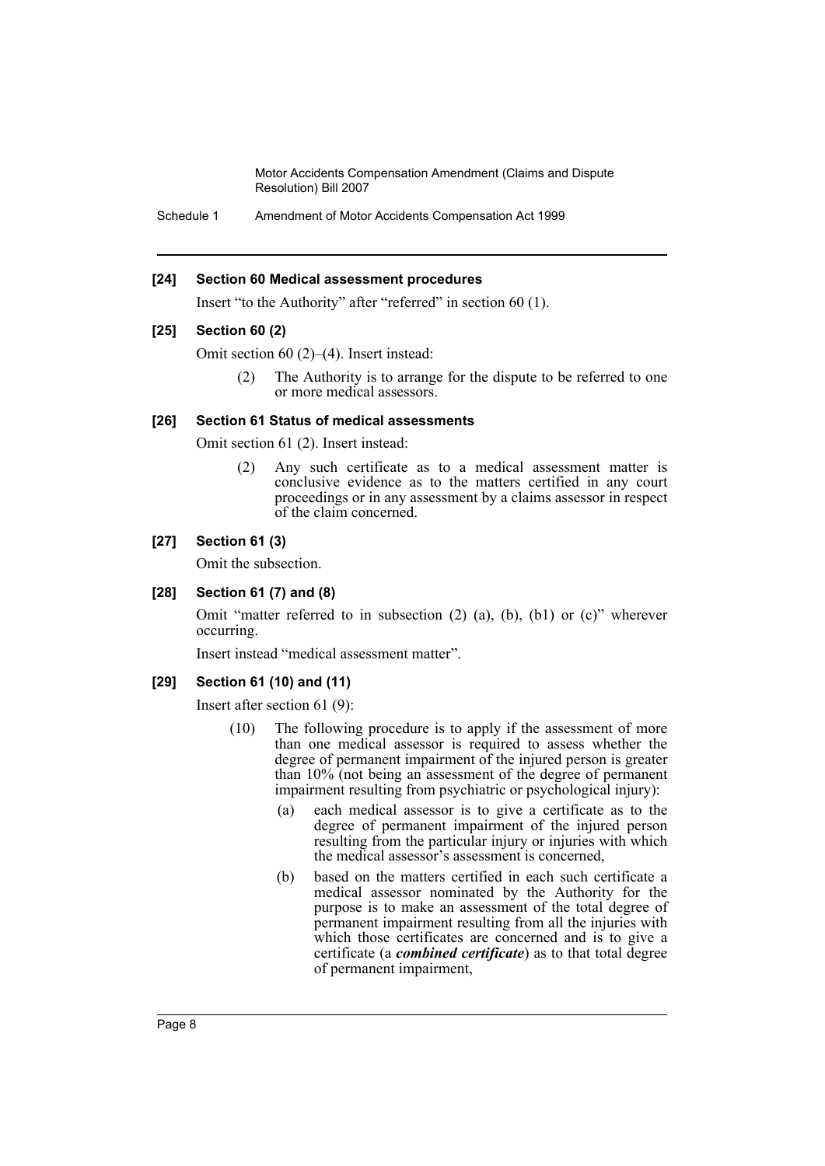Schedule 1 Amendment of Motor Accidents Compensation Act 1999

#### **[24] Section 60 Medical assessment procedures**

Insert "to the Authority" after "referred" in section 60 (1).

#### **[25] Section 60 (2)**

Omit section 60 (2)–(4). Insert instead:

(2) The Authority is to arrange for the dispute to be referred to one or more medical assessors.

#### **[26] Section 61 Status of medical assessments**

Omit section 61 (2). Insert instead:

(2) Any such certificate as to a medical assessment matter is conclusive evidence as to the matters certified in any court proceedings or in any assessment by a claims assessor in respect of the claim concerned.

### **[27] Section 61 (3)**

Omit the subsection.

#### **[28] Section 61 (7) and (8)**

Omit "matter referred to in subsection (2) (a), (b), (b1) or (c)" wherever occurring.

Insert instead "medical assessment matter".

#### **[29] Section 61 (10) and (11)**

Insert after section 61 (9):

- (10) The following procedure is to apply if the assessment of more than one medical assessor is required to assess whether the degree of permanent impairment of the injured person is greater than 10% (not being an assessment of the degree of permanent impairment resulting from psychiatric or psychological injury):
	- (a) each medical assessor is to give a certificate as to the degree of permanent impairment of the injured person resulting from the particular injury or injuries with which the medical assessor's assessment is concerned,
	- (b) based on the matters certified in each such certificate a medical assessor nominated by the Authority for the purpose is to make an assessment of the total degree of permanent impairment resulting from all the injuries with which those certificates are concerned and is to give a certificate (a *combined certificate*) as to that total degree of permanent impairment,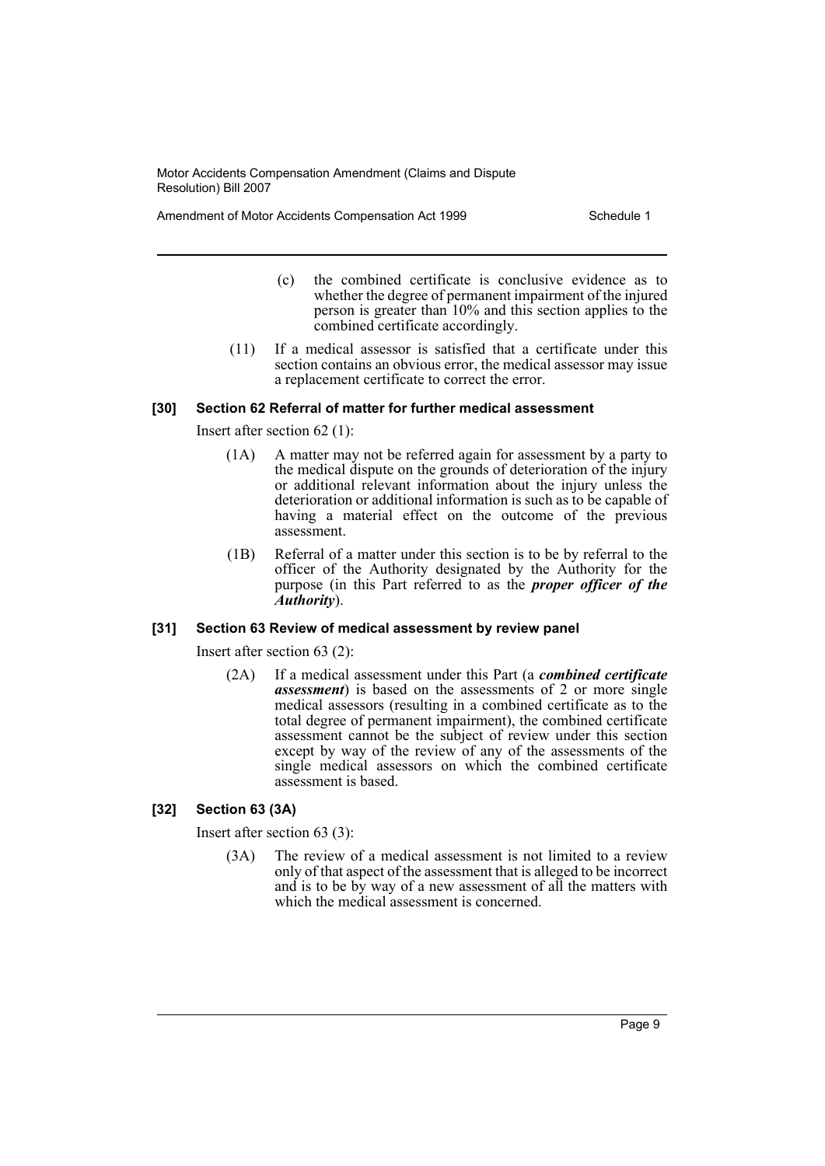Amendment of Motor Accidents Compensation Act 1999 Schedule 1

- (c) the combined certificate is conclusive evidence as to whether the degree of permanent impairment of the injured person is greater than 10% and this section applies to the combined certificate accordingly.
- (11) If a medical assessor is satisfied that a certificate under this section contains an obvious error, the medical assessor may issue a replacement certificate to correct the error.

# **[30] Section 62 Referral of matter for further medical assessment**

Insert after section 62 (1):

- (1A) A matter may not be referred again for assessment by a party to the medical dispute on the grounds of deterioration of the injury or additional relevant information about the injury unless the deterioration or additional information is such as to be capable of having a material effect on the outcome of the previous assessment.
- (1B) Referral of a matter under this section is to be by referral to the officer of the Authority designated by the Authority for the purpose (in this Part referred to as the *proper officer of the Authority*).

# **[31] Section 63 Review of medical assessment by review panel**

Insert after section 63 (2):

(2A) If a medical assessment under this Part (a *combined certificate assessment*) is based on the assessments of 2 or more single medical assessors (resulting in a combined certificate as to the total degree of permanent impairment), the combined certificate assessment cannot be the subject of review under this section except by way of the review of any of the assessments of the single medical assessors on which the combined certificate assessment is based.

# **[32] Section 63 (3A)**

Insert after section 63 (3):

(3A) The review of a medical assessment is not limited to a review only of that aspect of the assessment that is alleged to be incorrect and is to be by way of a new assessment of all the matters with which the medical assessment is concerned.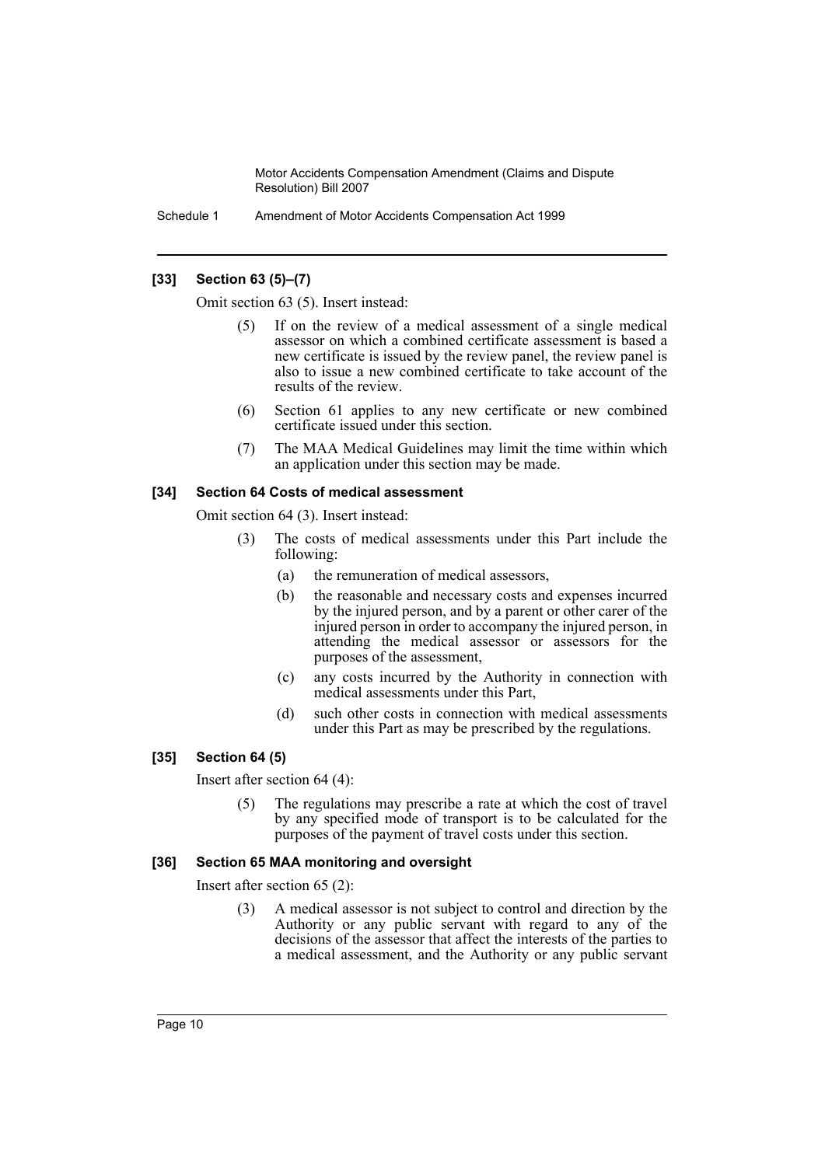Schedule 1 Amendment of Motor Accidents Compensation Act 1999

# **[33] Section 63 (5)–(7)**

Omit section 63 (5). Insert instead:

- If on the review of a medical assessment of a single medical assessor on which a combined certificate assessment is based a new certificate is issued by the review panel, the review panel is also to issue a new combined certificate to take account of the results of the review.
- (6) Section 61 applies to any new certificate or new combined certificate issued under this section.
- (7) The MAA Medical Guidelines may limit the time within which an application under this section may be made.

#### **[34] Section 64 Costs of medical assessment**

Omit section 64 (3). Insert instead:

- (3) The costs of medical assessments under this Part include the following:
	- (a) the remuneration of medical assessors,
	- (b) the reasonable and necessary costs and expenses incurred by the injured person, and by a parent or other carer of the injured person in order to accompany the injured person, in attending the medical assessor or assessors for the purposes of the assessment,
	- (c) any costs incurred by the Authority in connection with medical assessments under this Part,
	- (d) such other costs in connection with medical assessments under this Part as may be prescribed by the regulations.

# **[35] Section 64 (5)**

Insert after section 64 (4):

(5) The regulations may prescribe a rate at which the cost of travel by any specified mode of transport is to be calculated for the purposes of the payment of travel costs under this section.

#### **[36] Section 65 MAA monitoring and oversight**

Insert after section 65 (2):

(3) A medical assessor is not subject to control and direction by the Authority or any public servant with regard to any of the decisions of the assessor that affect the interests of the parties to a medical assessment, and the Authority or any public servant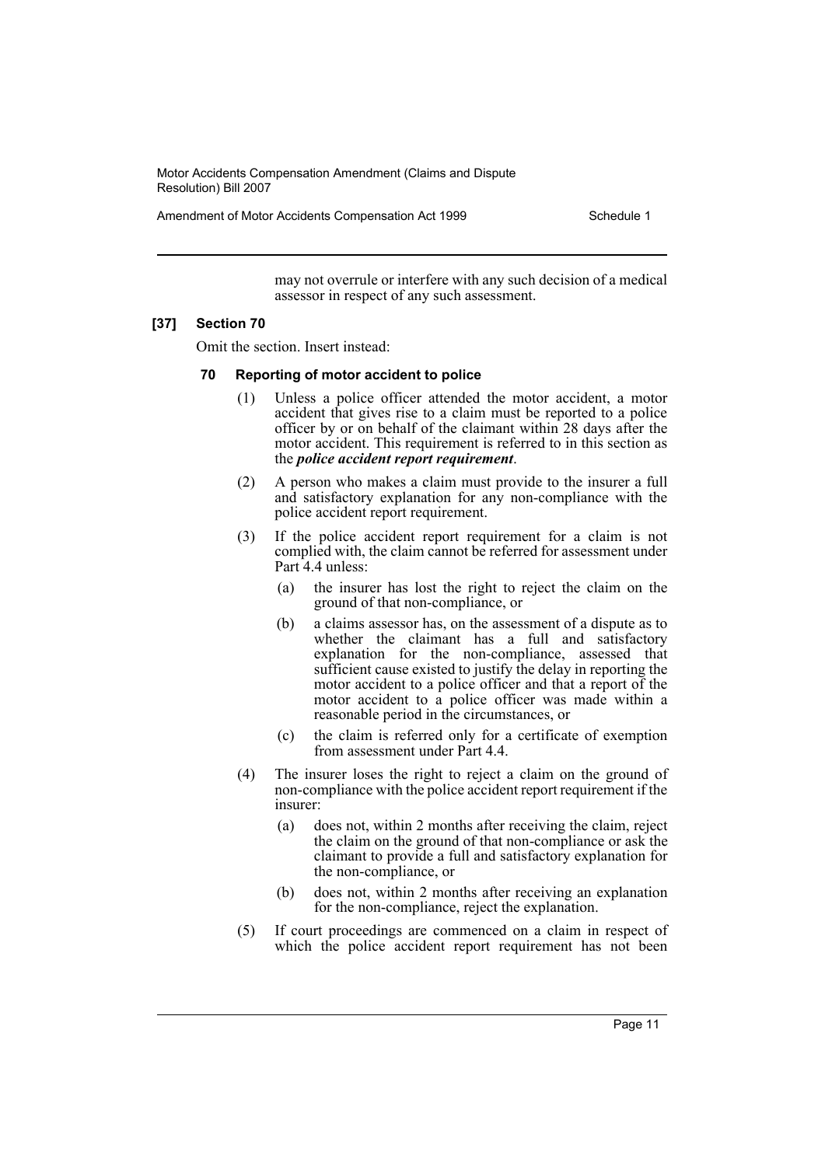Amendment of Motor Accidents Compensation Act 1999 Schedule 1

may not overrule or interfere with any such decision of a medical assessor in respect of any such assessment.

#### **[37] Section 70**

Omit the section. Insert instead:

#### **70 Reporting of motor accident to police**

- (1) Unless a police officer attended the motor accident, a motor accident that gives rise to a claim must be reported to a police officer by or on behalf of the claimant within 28 days after the motor accident. This requirement is referred to in this section as the *police accident report requirement*.
- (2) A person who makes a claim must provide to the insurer a full and satisfactory explanation for any non-compliance with the police accident report requirement.
- (3) If the police accident report requirement for a claim is not complied with, the claim cannot be referred for assessment under Part 4.4 unless:
	- (a) the insurer has lost the right to reject the claim on the ground of that non-compliance, or
	- (b) a claims assessor has, on the assessment of a dispute as to whether the claimant has a full and satisfactory explanation for the non-compliance, assessed that sufficient cause existed to justify the delay in reporting the motor accident to a police officer and that a report of the motor accident to a police officer was made within a reasonable period in the circumstances, or
	- (c) the claim is referred only for a certificate of exemption from assessment under Part 4.4.
- (4) The insurer loses the right to reject a claim on the ground of non-compliance with the police accident report requirement if the insurer:
	- (a) does not, within 2 months after receiving the claim, reject the claim on the ground of that non-compliance or ask the claimant to provide a full and satisfactory explanation for the non-compliance, or
	- (b) does not, within 2 months after receiving an explanation for the non-compliance, reject the explanation.
- (5) If court proceedings are commenced on a claim in respect of which the police accident report requirement has not been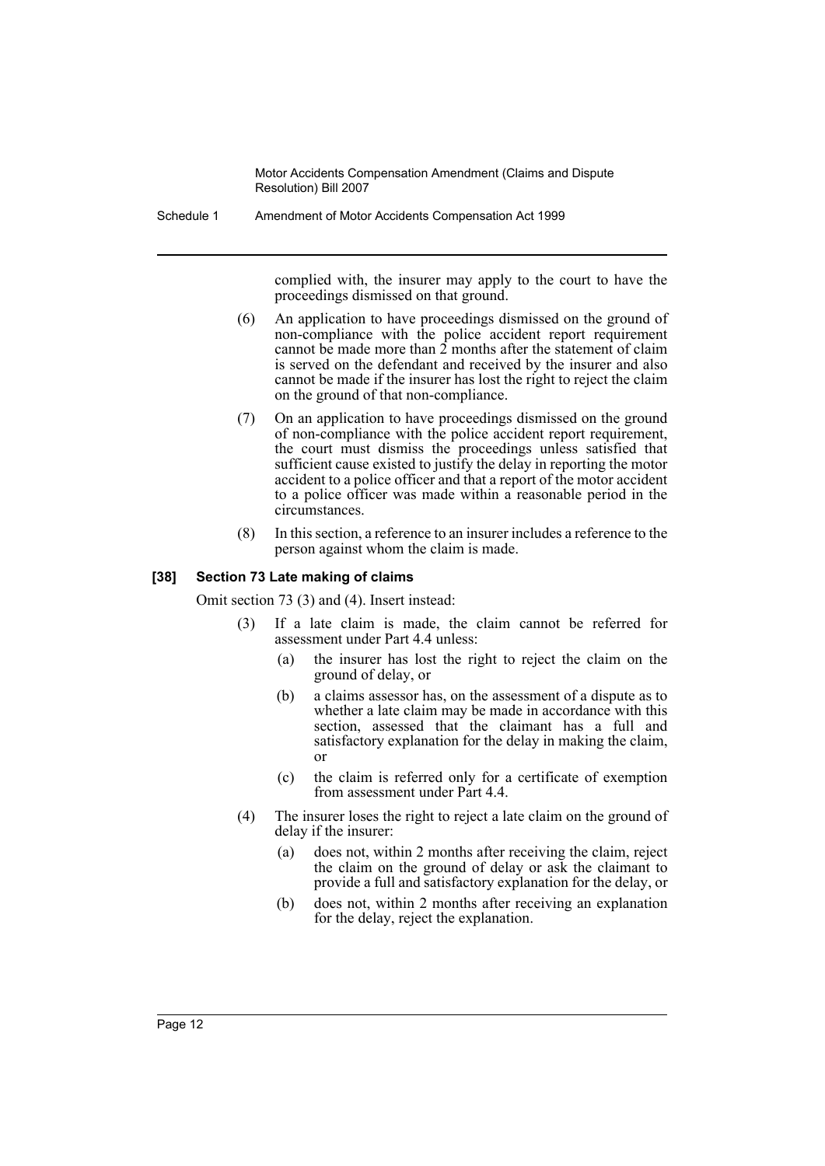Schedule 1 Amendment of Motor Accidents Compensation Act 1999

complied with, the insurer may apply to the court to have the proceedings dismissed on that ground.

- (6) An application to have proceedings dismissed on the ground of non-compliance with the police accident report requirement cannot be made more than  $\tilde{2}$  months after the statement of claim is served on the defendant and received by the insurer and also cannot be made if the insurer has lost the right to reject the claim on the ground of that non-compliance.
- (7) On an application to have proceedings dismissed on the ground of non-compliance with the police accident report requirement, the court must dismiss the proceedings unless satisfied that sufficient cause existed to justify the delay in reporting the motor accident to a police officer and that a report of the motor accident to a police officer was made within a reasonable period in the circumstances.
- (8) In this section, a reference to an insurer includes a reference to the person against whom the claim is made.

#### **[38] Section 73 Late making of claims**

Omit section 73 (3) and (4). Insert instead:

- (3) If a late claim is made, the claim cannot be referred for assessment under Part 4.4 unless:
	- (a) the insurer has lost the right to reject the claim on the ground of delay, or
	- (b) a claims assessor has, on the assessment of a dispute as to whether a late claim may be made in accordance with this section, assessed that the claimant has a full and satisfactory explanation for the delay in making the claim, or
	- (c) the claim is referred only for a certificate of exemption from assessment under Part 4.4.
- (4) The insurer loses the right to reject a late claim on the ground of delay if the insurer:
	- (a) does not, within 2 months after receiving the claim, reject the claim on the ground of delay or ask the claimant to provide a full and satisfactory explanation for the delay, or
	- (b) does not, within 2 months after receiving an explanation for the delay, reject the explanation.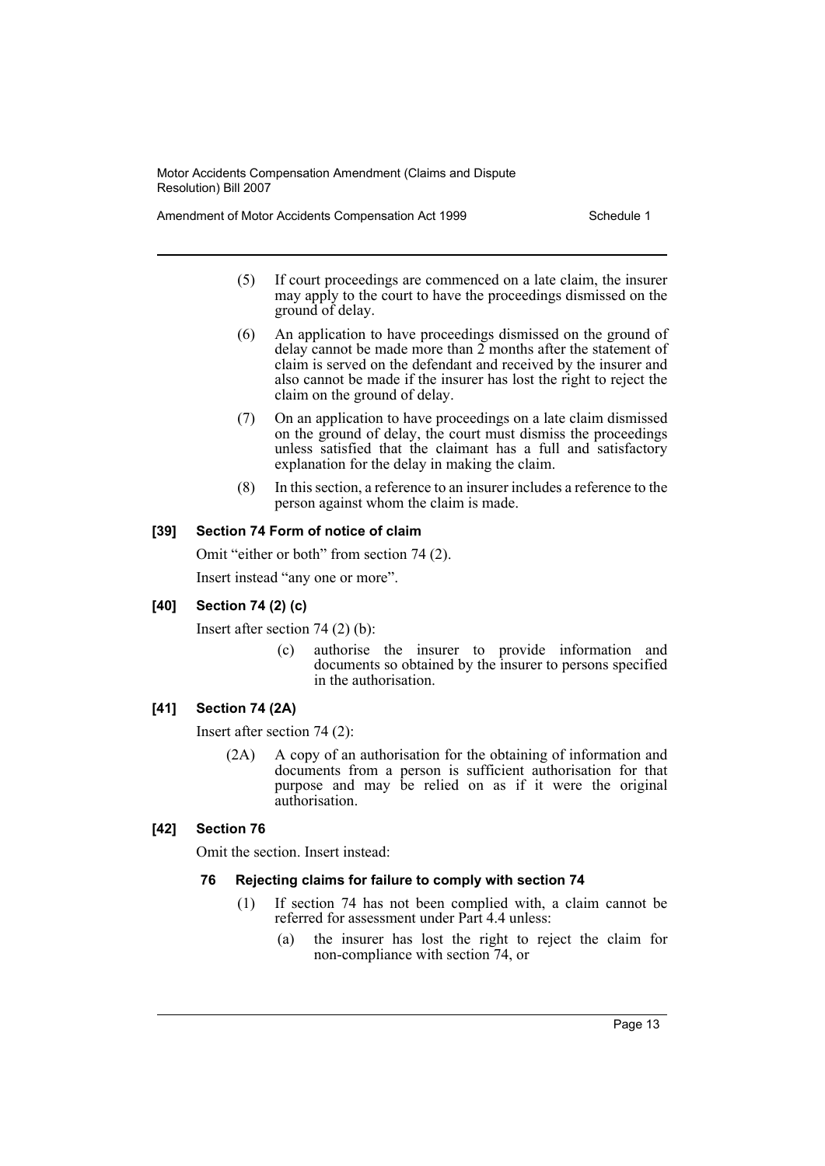Amendment of Motor Accidents Compensation Act 1999 Schedule 1

- (5) If court proceedings are commenced on a late claim, the insurer may apply to the court to have the proceedings dismissed on the ground of delay.
- (6) An application to have proceedings dismissed on the ground of delay cannot be made more than  $\tilde{2}$  months after the statement of claim is served on the defendant and received by the insurer and also cannot be made if the insurer has lost the right to reject the claim on the ground of delay.
- (7) On an application to have proceedings on a late claim dismissed on the ground of delay, the court must dismiss the proceedings unless satisfied that the claimant has a full and satisfactory explanation for the delay in making the claim.
- (8) In this section, a reference to an insurer includes a reference to the person against whom the claim is made.

# **[39] Section 74 Form of notice of claim**

Omit "either or both" from section 74 (2).

Insert instead "any one or more".

# **[40] Section 74 (2) (c)**

Insert after section 74 (2) (b):

(c) authorise the insurer to provide information and documents so obtained by the insurer to persons specified in the authorisation.

# **[41] Section 74 (2A)**

Insert after section 74 (2):

(2A) A copy of an authorisation for the obtaining of information and documents from a person is sufficient authorisation for that purpose and may be relied on as if it were the original authorisation.

# **[42] Section 76**

Omit the section. Insert instead:

# **76 Rejecting claims for failure to comply with section 74**

- (1) If section 74 has not been complied with, a claim cannot be referred for assessment under Part 4.4 unless:
	- (a) the insurer has lost the right to reject the claim for non-compliance with section 74, or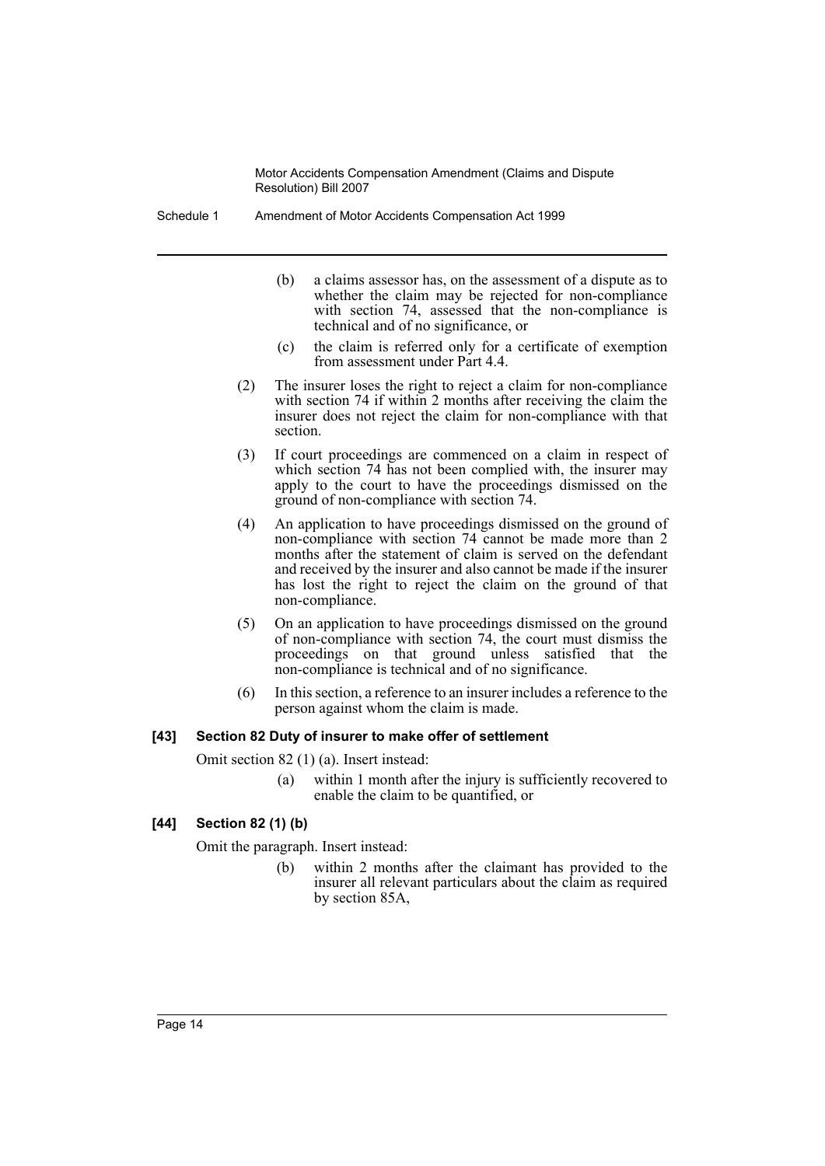Schedule 1 Amendment of Motor Accidents Compensation Act 1999

- (b) a claims assessor has, on the assessment of a dispute as to whether the claim may be rejected for non-compliance with section 74, assessed that the non-compliance is technical and of no significance, or
- (c) the claim is referred only for a certificate of exemption from assessment under Part 4.4.
- (2) The insurer loses the right to reject a claim for non-compliance with section 74 if within 2 months after receiving the claim the insurer does not reject the claim for non-compliance with that section.
- (3) If court proceedings are commenced on a claim in respect of which section 74 has not been complied with, the insurer may apply to the court to have the proceedings dismissed on the ground of non-compliance with section 74.
- (4) An application to have proceedings dismissed on the ground of non-compliance with section 74 cannot be made more than 2 months after the statement of claim is served on the defendant and received by the insurer and also cannot be made if the insurer has lost the right to reject the claim on the ground of that non-compliance.
- (5) On an application to have proceedings dismissed on the ground of non-compliance with section 74, the court must dismiss the proceedings on that ground unless satisfied that the non-compliance is technical and of no significance.
- (6) In this section, a reference to an insurer includes a reference to the person against whom the claim is made.

# **[43] Section 82 Duty of insurer to make offer of settlement**

Omit section 82 (1) (a). Insert instead:

(a) within 1 month after the injury is sufficiently recovered to enable the claim to be quantified, or

# **[44] Section 82 (1) (b)**

Omit the paragraph. Insert instead:

(b) within 2 months after the claimant has provided to the insurer all relevant particulars about the claim as required by section 85A,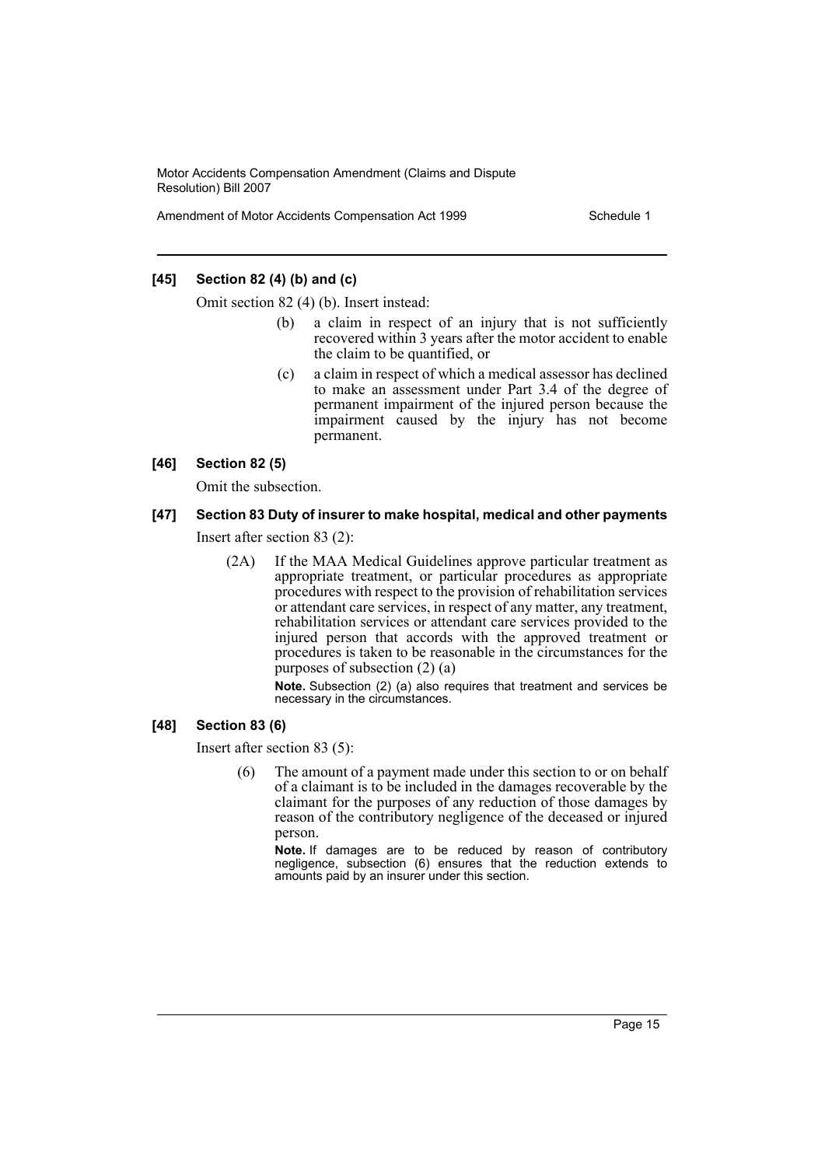Amendment of Motor Accidents Compensation Act 1999 Schedule 1

# **[45] Section 82 (4) (b) and (c)**

Omit section 82 (4) (b). Insert instead:

- (b) a claim in respect of an injury that is not sufficiently recovered within 3 years after the motor accident to enable the claim to be quantified, or
- (c) a claim in respect of which a medical assessor has declined to make an assessment under Part 3.4 of the degree of permanent impairment of the injured person because the impairment caused by the injury has not become permanent.

#### **[46] Section 82 (5)**

Omit the subsection.

# **[47] Section 83 Duty of insurer to make hospital, medical and other payments**

Insert after section 83 (2):

(2A) If the MAA Medical Guidelines approve particular treatment as appropriate treatment, or particular procedures as appropriate procedures with respect to the provision of rehabilitation services or attendant care services, in respect of any matter, any treatment, rehabilitation services or attendant care services provided to the injured person that accords with the approved treatment or procedures is taken to be reasonable in the circumstances for the purposes of subsection (2) (a)

> **Note.** Subsection (2) (a) also requires that treatment and services be necessary in the circumstances.

#### **[48] Section 83 (6)**

Insert after section 83 (5):

(6) The amount of a payment made under this section to or on behalf of a claimant is to be included in the damages recoverable by the claimant for the purposes of any reduction of those damages by reason of the contributory negligence of the deceased or injured person.

**Note.** If damages are to be reduced by reason of contributory negligence, subsection (6) ensures that the reduction extends to amounts paid by an insurer under this section.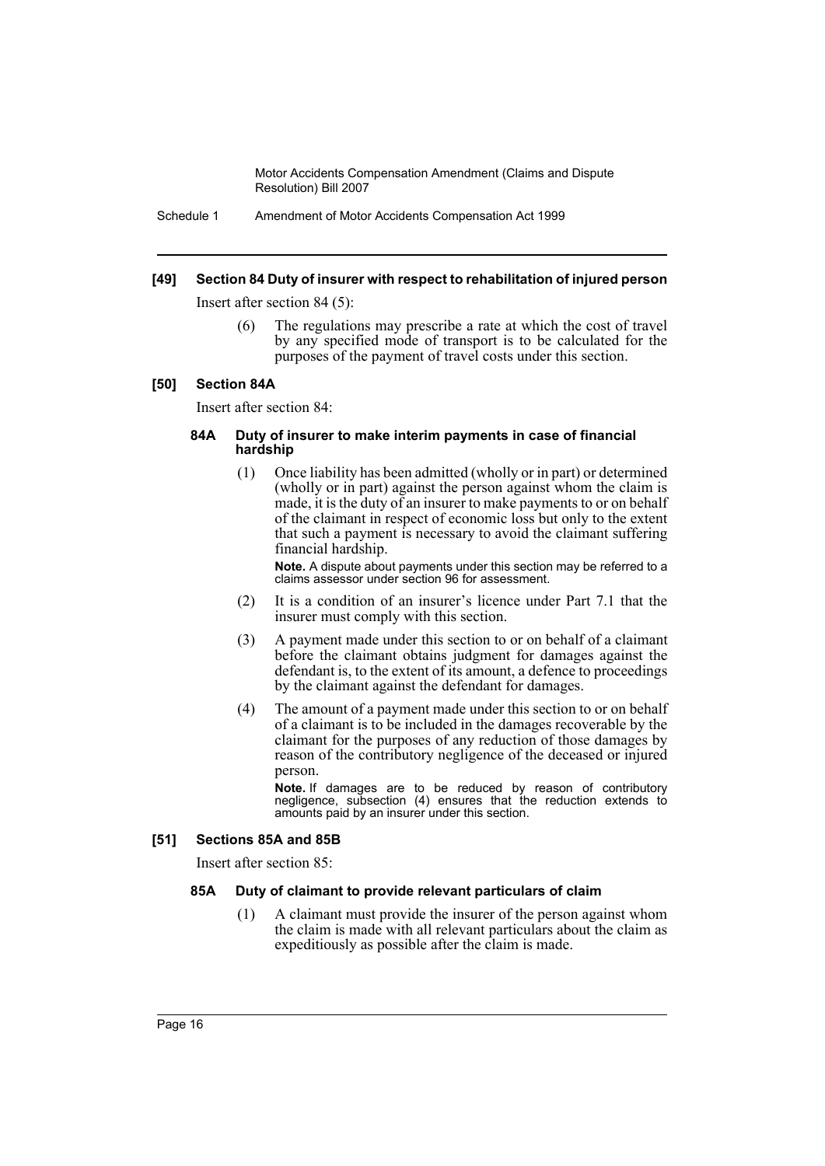Schedule 1 Amendment of Motor Accidents Compensation Act 1999

#### **[49] Section 84 Duty of insurer with respect to rehabilitation of injured person**

Insert after section 84 (5):

(6) The regulations may prescribe a rate at which the cost of travel by any specified mode of transport is to be calculated for the purposes of the payment of travel costs under this section.

#### **[50] Section 84A**

Insert after section 84:

#### **84A Duty of insurer to make interim payments in case of financial hardship**

(1) Once liability has been admitted (wholly or in part) or determined (wholly or in part) against the person against whom the claim is made, it is the duty of an insurer to make payments to or on behalf of the claimant in respect of economic loss but only to the extent that such a payment is necessary to avoid the claimant suffering financial hardship.

**Note.** A dispute about payments under this section may be referred to a claims assessor under section 96 for assessment.

- (2) It is a condition of an insurer's licence under Part 7.1 that the insurer must comply with this section.
- (3) A payment made under this section to or on behalf of a claimant before the claimant obtains judgment for damages against the defendant is, to the extent of its amount, a defence to proceedings by the claimant against the defendant for damages.
- (4) The amount of a payment made under this section to or on behalf of a claimant is to be included in the damages recoverable by the claimant for the purposes of any reduction of those damages by reason of the contributory negligence of the deceased or injured person.

**Note.** If damages are to be reduced by reason of contributory negligence, subsection (4) ensures that the reduction extends to amounts paid by an insurer under this section.

#### **[51] Sections 85A and 85B**

Insert after section 85:

#### **85A Duty of claimant to provide relevant particulars of claim**

(1) A claimant must provide the insurer of the person against whom the claim is made with all relevant particulars about the claim as expeditiously as possible after the claim is made.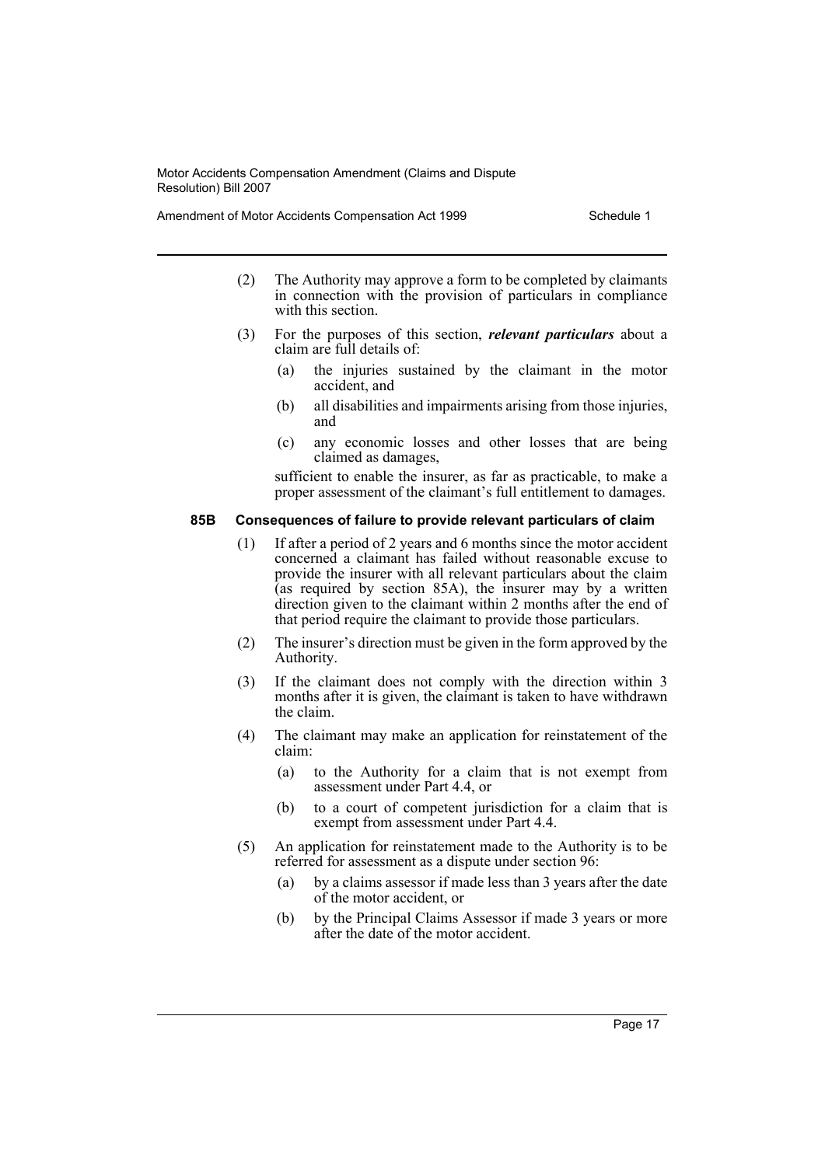Amendment of Motor Accidents Compensation Act 1999 Schedule 1

- (2) The Authority may approve a form to be completed by claimants in connection with the provision of particulars in compliance with this section.
- (3) For the purposes of this section, *relevant particulars* about a claim are full details of:
	- (a) the injuries sustained by the claimant in the motor accident, and
	- (b) all disabilities and impairments arising from those injuries, and
	- (c) any economic losses and other losses that are being claimed as damages,

sufficient to enable the insurer, as far as practicable, to make a proper assessment of the claimant's full entitlement to damages.

#### **85B Consequences of failure to provide relevant particulars of claim**

- (1) If after a period of 2 years and 6 months since the motor accident concerned a claimant has failed without reasonable excuse to provide the insurer with all relevant particulars about the claim (as required by section 85A), the insurer may by a written direction given to the claimant within 2 months after the end of that period require the claimant to provide those particulars.
- (2) The insurer's direction must be given in the form approved by the Authority.
- (3) If the claimant does not comply with the direction within 3 months after it is given, the claimant is taken to have withdrawn the claim.
- (4) The claimant may make an application for reinstatement of the claim:
	- (a) to the Authority for a claim that is not exempt from assessment under Part 4.4, or
	- (b) to a court of competent jurisdiction for a claim that is exempt from assessment under Part 4.4.
- (5) An application for reinstatement made to the Authority is to be referred for assessment as a dispute under section 96:
	- (a) by a claims assessor if made less than 3 years after the date of the motor accident, or
	- (b) by the Principal Claims Assessor if made 3 years or more after the date of the motor accident.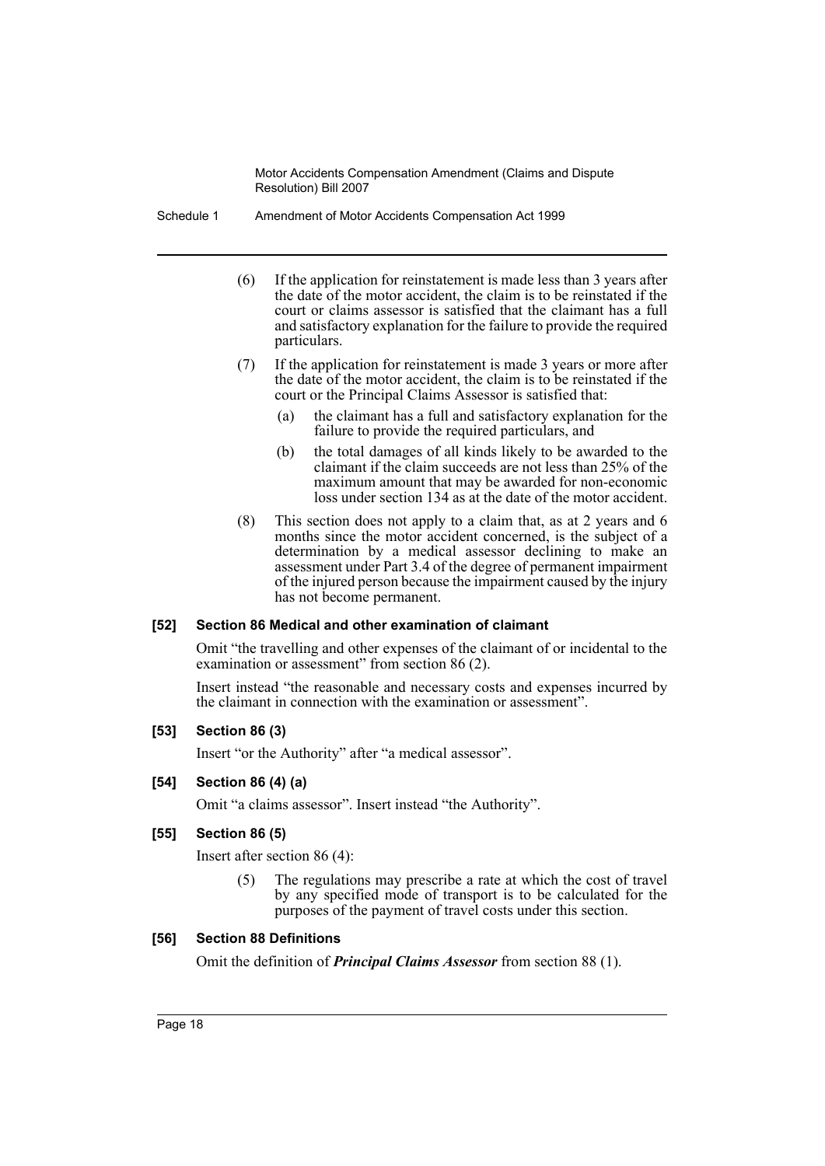Schedule 1 Amendment of Motor Accidents Compensation Act 1999

- (6) If the application for reinstatement is made less than 3 years after the date of the motor accident, the claim is to be reinstated if the court or claims assessor is satisfied that the claimant has a full and satisfactory explanation for the failure to provide the required particulars.
- (7) If the application for reinstatement is made 3 years or more after the date of the motor accident, the claim is to be reinstated if the court or the Principal Claims Assessor is satisfied that:
	- (a) the claimant has a full and satisfactory explanation for the failure to provide the required particulars, and
	- (b) the total damages of all kinds likely to be awarded to the claimant if the claim succeeds are not less than 25% of the maximum amount that may be awarded for non-economic loss under section 134 as at the date of the motor accident.
- (8) This section does not apply to a claim that, as at 2 years and 6 months since the motor accident concerned, is the subject of a determination by a medical assessor declining to make an assessment under Part 3.4 of the degree of permanent impairment of the injured person because the impairment caused by the injury has not become permanent.

#### **[52] Section 86 Medical and other examination of claimant**

Omit "the travelling and other expenses of the claimant of or incidental to the examination or assessment" from section 86 (2).

Insert instead "the reasonable and necessary costs and expenses incurred by the claimant in connection with the examination or assessment".

#### **[53] Section 86 (3)**

Insert "or the Authority" after "a medical assessor".

# **[54] Section 86 (4) (a)**

Omit "a claims assessor". Insert instead "the Authority".

# **[55] Section 86 (5)**

Insert after section 86 (4):

(5) The regulations may prescribe a rate at which the cost of travel by any specified mode of transport is to be calculated for the purposes of the payment of travel costs under this section.

#### **[56] Section 88 Definitions**

Omit the definition of *Principal Claims Assessor* from section 88 (1).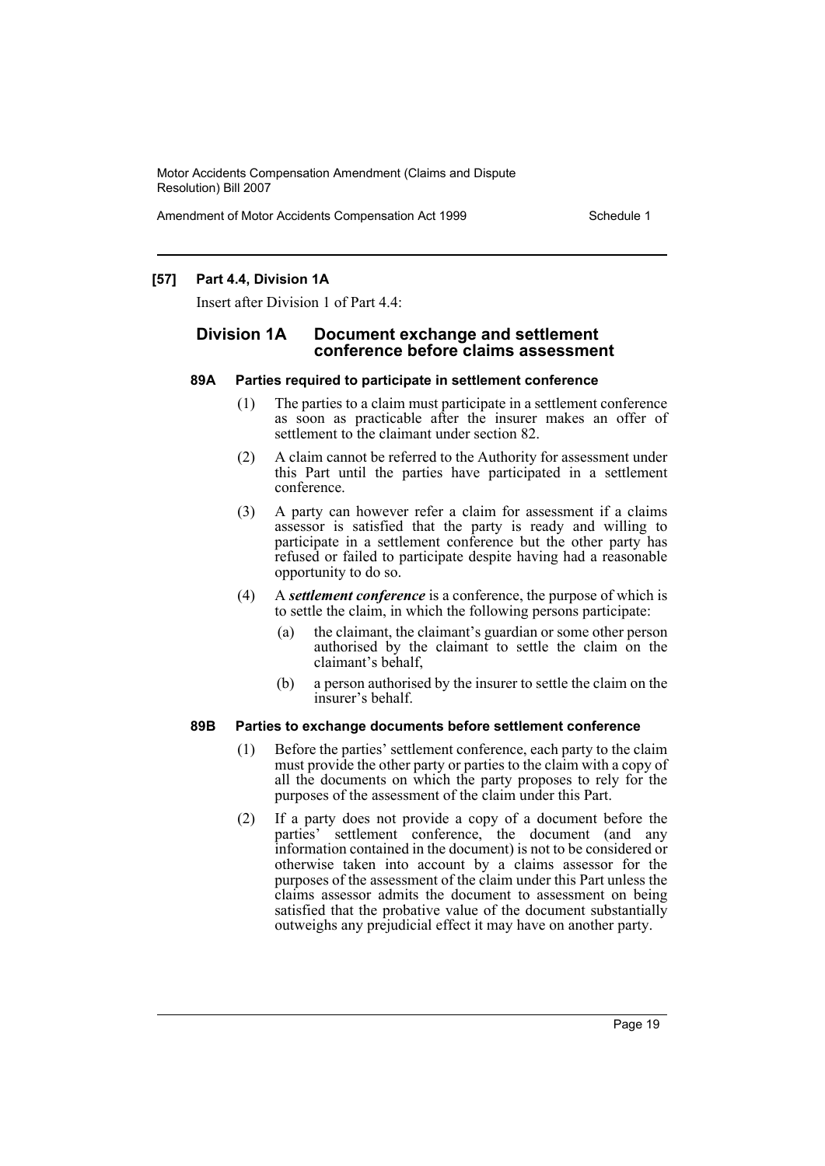Amendment of Motor Accidents Compensation Act 1999 Schedule 1

## **[57] Part 4.4, Division 1A**

Insert after Division 1 of Part 4.4:

# **Division 1A Document exchange and settlement conference before claims assessment**

#### **89A Parties required to participate in settlement conference**

- (1) The parties to a claim must participate in a settlement conference as soon as practicable after the insurer makes an offer of settlement to the claimant under section 82.
- (2) A claim cannot be referred to the Authority for assessment under this Part until the parties have participated in a settlement conference.
- (3) A party can however refer a claim for assessment if a claims assessor is satisfied that the party is ready and willing to participate in a settlement conference but the other party has refused or failed to participate despite having had a reasonable opportunity to do so.
- (4) A *settlement conference* is a conference, the purpose of which is to settle the claim, in which the following persons participate:
	- (a) the claimant, the claimant's guardian or some other person authorised by the claimant to settle the claim on the claimant's behalf,
	- (b) a person authorised by the insurer to settle the claim on the insurer's behalf.

#### **89B Parties to exchange documents before settlement conference**

- (1) Before the parties' settlement conference, each party to the claim must provide the other party or parties to the claim with a copy of all the documents on which the party proposes to rely for the purposes of the assessment of the claim under this Part.
- (2) If a party does not provide a copy of a document before the parties' settlement conference, the document (and any information contained in the document) is not to be considered or otherwise taken into account by a claims assessor for the purposes of the assessment of the claim under this Part unless the claims assessor admits the document to assessment on being satisfied that the probative value of the document substantially outweighs any prejudicial effect it may have on another party.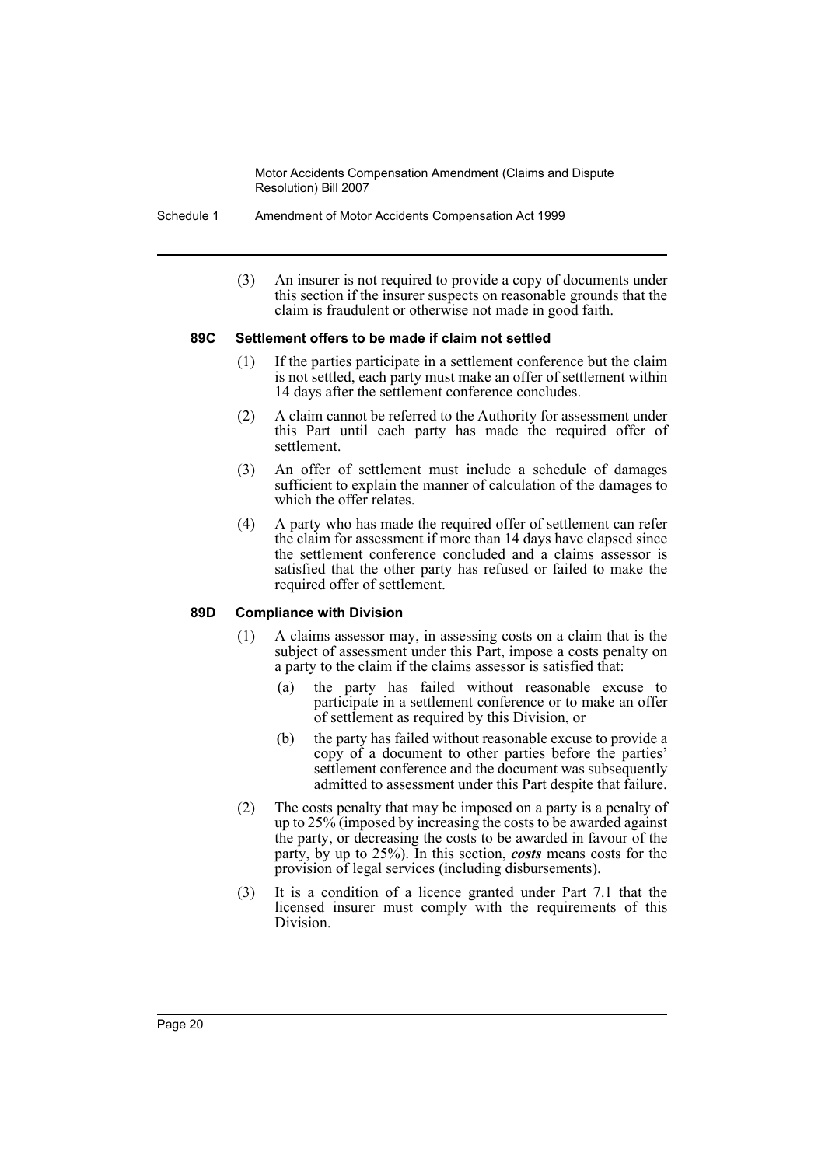Schedule 1 Amendment of Motor Accidents Compensation Act 1999

(3) An insurer is not required to provide a copy of documents under this section if the insurer suspects on reasonable grounds that the claim is fraudulent or otherwise not made in good faith.

#### **89C Settlement offers to be made if claim not settled**

- (1) If the parties participate in a settlement conference but the claim is not settled, each party must make an offer of settlement within 14 days after the settlement conference concludes.
- (2) A claim cannot be referred to the Authority for assessment under this Part until each party has made the required offer of settlement.
- (3) An offer of settlement must include a schedule of damages sufficient to explain the manner of calculation of the damages to which the offer relates.
- (4) A party who has made the required offer of settlement can refer the claim for assessment if more than 14 days have elapsed since the settlement conference concluded and a claims assessor is satisfied that the other party has refused or failed to make the required offer of settlement.

# **89D Compliance with Division**

- (1) A claims assessor may, in assessing costs on a claim that is the subject of assessment under this Part, impose a costs penalty on a party to the claim if the claims assessor is satisfied that:
	- (a) the party has failed without reasonable excuse to participate in a settlement conference or to make an offer of settlement as required by this Division, or
	- (b) the party has failed without reasonable excuse to provide a copy of a document to other parties before the parties' settlement conference and the document was subsequently admitted to assessment under this Part despite that failure.
- (2) The costs penalty that may be imposed on a party is a penalty of up to 25% (imposed by increasing the costs to be awarded against the party, or decreasing the costs to be awarded in favour of the party, by up to 25%). In this section, *costs* means costs for the provision of legal services (including disbursements).
- (3) It is a condition of a licence granted under Part 7.1 that the licensed insurer must comply with the requirements of this Division.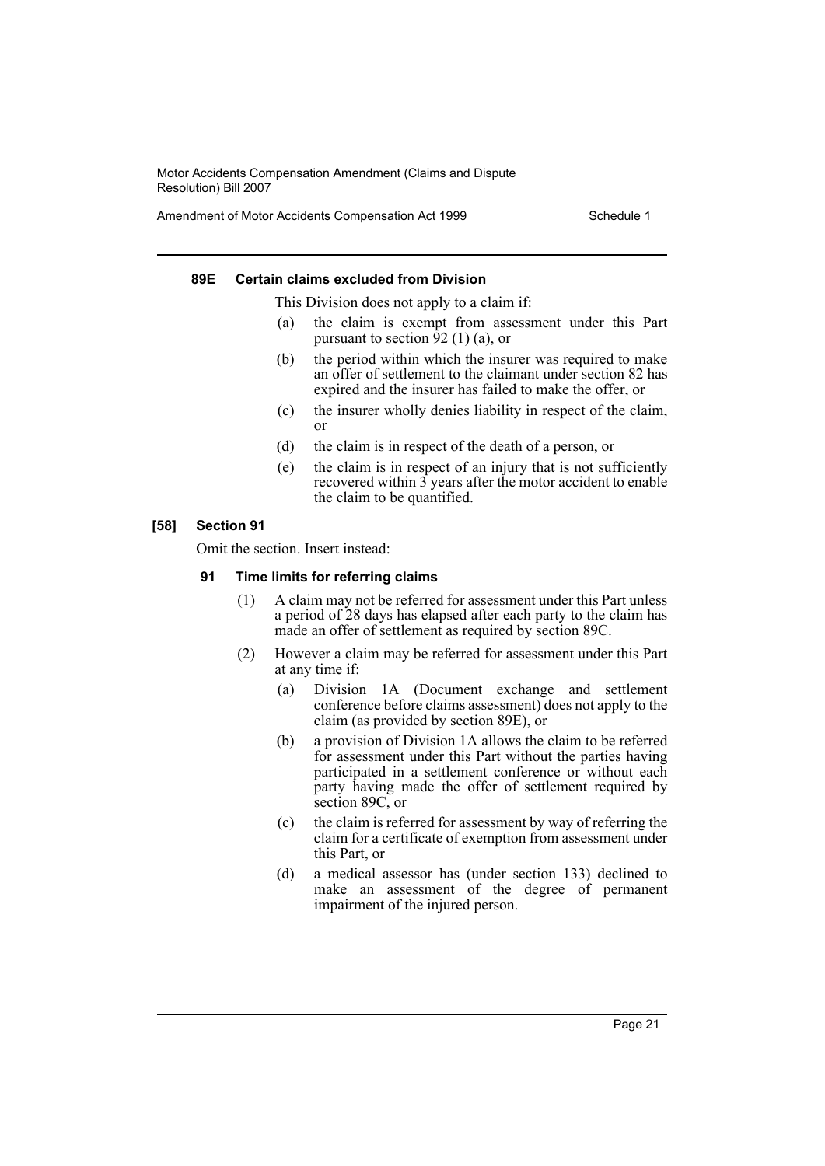Amendment of Motor Accidents Compensation Act 1999 Schedule 1

#### **89E Certain claims excluded from Division**

This Division does not apply to a claim if:

- (a) the claim is exempt from assessment under this Part pursuant to section  $\frac{92}{11}$  (a), or
- (b) the period within which the insurer was required to make an offer of settlement to the claimant under section 82 has expired and the insurer has failed to make the offer, or
- (c) the insurer wholly denies liability in respect of the claim, or
- (d) the claim is in respect of the death of a person, or
- (e) the claim is in respect of an injury that is not sufficiently recovered within  $\hat{3}$  years after the motor accident to enable the claim to be quantified.

# **[58] Section 91**

Omit the section. Insert instead:

# **91 Time limits for referring claims**

- (1) A claim may not be referred for assessment under this Part unless a period of 28 days has elapsed after each party to the claim has made an offer of settlement as required by section 89C.
- (2) However a claim may be referred for assessment under this Part at any time if:
	- (a) Division 1A (Document exchange and settlement conference before claims assessment) does not apply to the claim (as provided by section 89E), or
	- (b) a provision of Division 1A allows the claim to be referred for assessment under this Part without the parties having participated in a settlement conference or without each party having made the offer of settlement required by section 89C, or
	- (c) the claim is referred for assessment by way of referring the claim for a certificate of exemption from assessment under this Part, or
	- (d) a medical assessor has (under section 133) declined to make an assessment of the degree of permanent impairment of the injured person.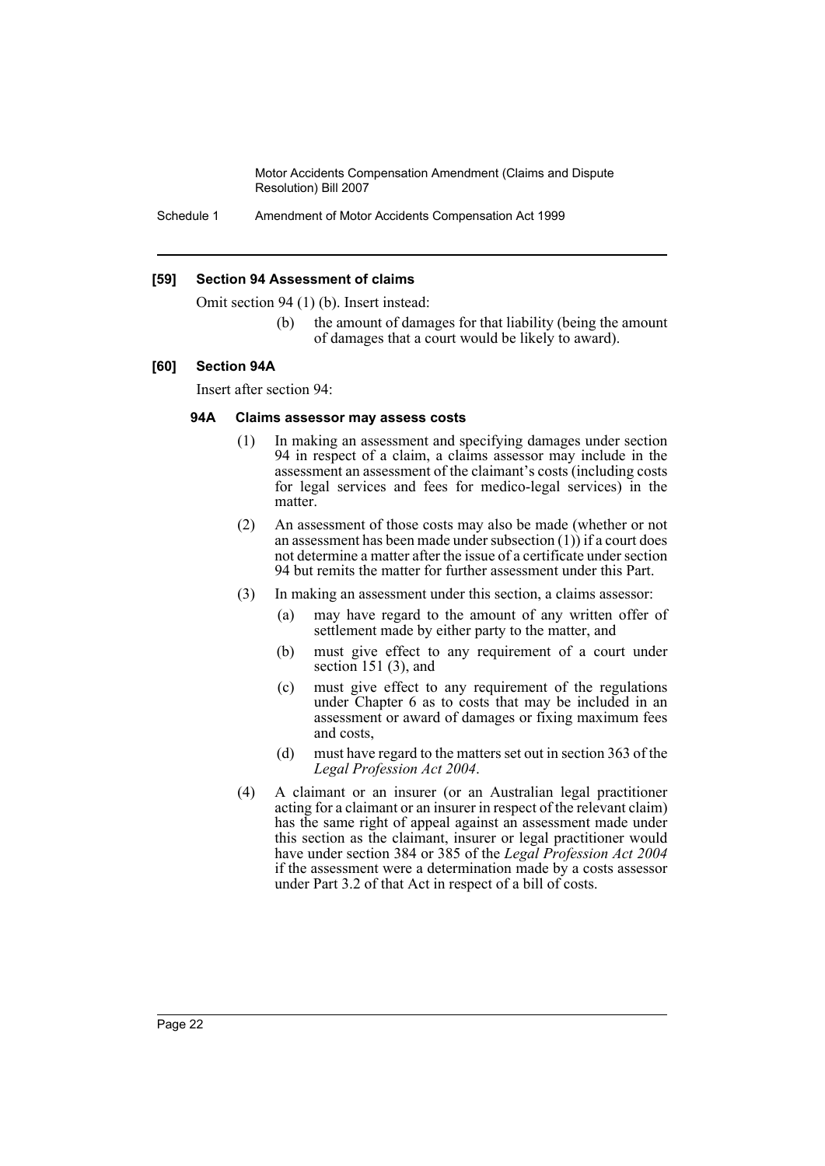Schedule 1 Amendment of Motor Accidents Compensation Act 1999

#### **[59] Section 94 Assessment of claims**

Omit section 94 (1) (b). Insert instead:

(b) the amount of damages for that liability (being the amount of damages that a court would be likely to award).

#### **[60] Section 94A**

Insert after section 94:

#### **94A Claims assessor may assess costs**

- (1) In making an assessment and specifying damages under section 94 in respect of a claim, a claims assessor may include in the assessment an assessment of the claimant's costs (including costs for legal services and fees for medico-legal services) in the matter.
- (2) An assessment of those costs may also be made (whether or not an assessment has been made under subsection (1)) if a court does not determine a matter after the issue of a certificate under section 94 but remits the matter for further assessment under this Part.
- (3) In making an assessment under this section, a claims assessor:
	- (a) may have regard to the amount of any written offer of settlement made by either party to the matter, and
	- (b) must give effect to any requirement of a court under section 151 (3), and
	- (c) must give effect to any requirement of the regulations under Chapter 6 as to costs that may be included in an assessment or award of damages or fixing maximum fees and costs,
	- (d) must have regard to the matters set out in section 363 of the *Legal Profession Act 2004*.
- (4) A claimant or an insurer (or an Australian legal practitioner acting for a claimant or an insurer in respect of the relevant claim) has the same right of appeal against an assessment made under this section as the claimant, insurer or legal practitioner would have under section 384 or 385 of the *Legal Profession Act 2004* if the assessment were a determination made by a costs assessor under Part 3.2 of that Act in respect of a bill of costs.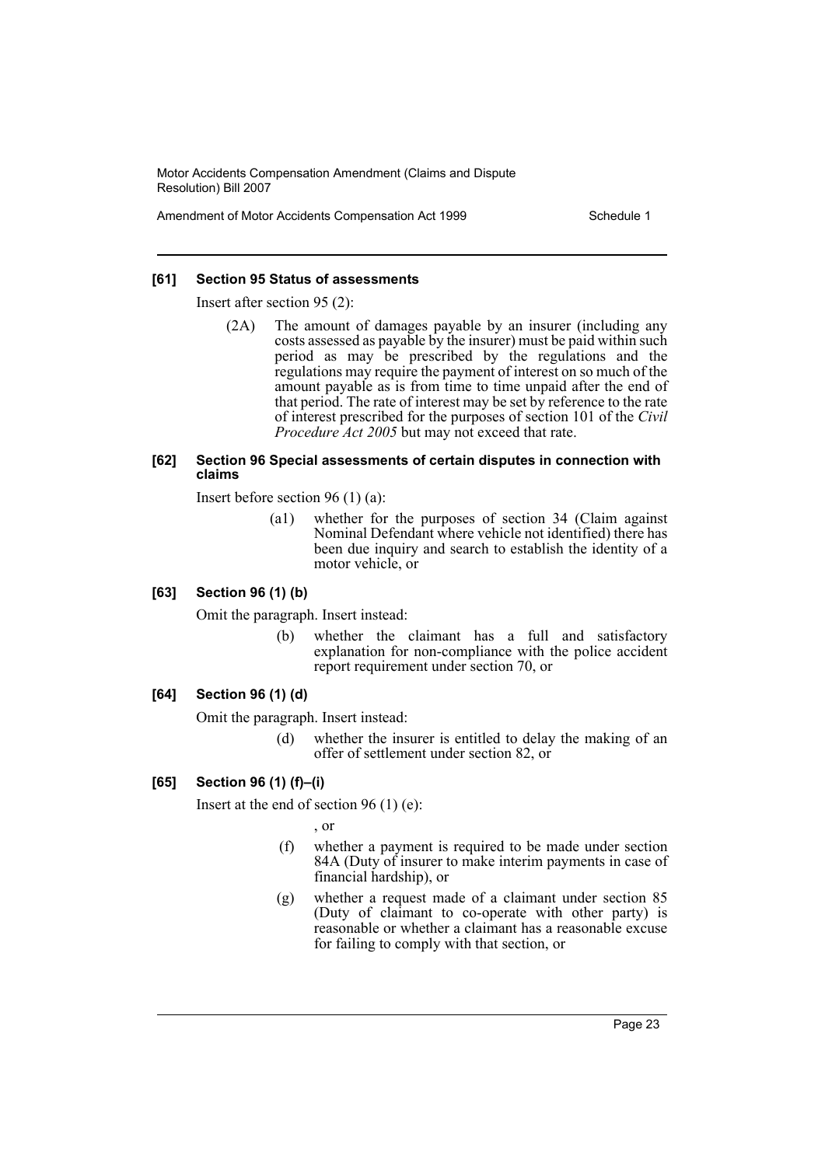Amendment of Motor Accidents Compensation Act 1999 Schedule 1

#### **[61] Section 95 Status of assessments**

Insert after section 95 (2):

(2A) The amount of damages payable by an insurer (including any costs assessed as payable by the insurer) must be paid within such period as may be prescribed by the regulations and the regulations may require the payment of interest on so much of the amount payable as is from time to time unpaid after the end of that period. The rate of interest may be set by reference to the rate of interest prescribed for the purposes of section 101 of the *Civil Procedure Act 2005* but may not exceed that rate.

#### **[62] Section 96 Special assessments of certain disputes in connection with claims**

Insert before section 96 (1) (a):

(a1) whether for the purposes of section 34 (Claim against Nominal Defendant where vehicle not identified) there has been due inquiry and search to establish the identity of a motor vehicle, or

# **[63] Section 96 (1) (b)**

Omit the paragraph. Insert instead:

(b) whether the claimant has a full and satisfactory explanation for non-compliance with the police accident report requirement under section 70, or

# **[64] Section 96 (1) (d)**

Omit the paragraph. Insert instead:

(d) whether the insurer is entitled to delay the making of an offer of settlement under section 82, or

# **[65] Section 96 (1) (f)–(i)**

Insert at the end of section 96 (1) (e):

, or

- (f) whether a payment is required to be made under section 84A (Duty of insurer to make interim payments in case of financial hardship), or
- (g) whether a request made of a claimant under section 85 (Duty of claimant to co-operate with other party) is reasonable or whether a claimant has a reasonable excuse for failing to comply with that section, or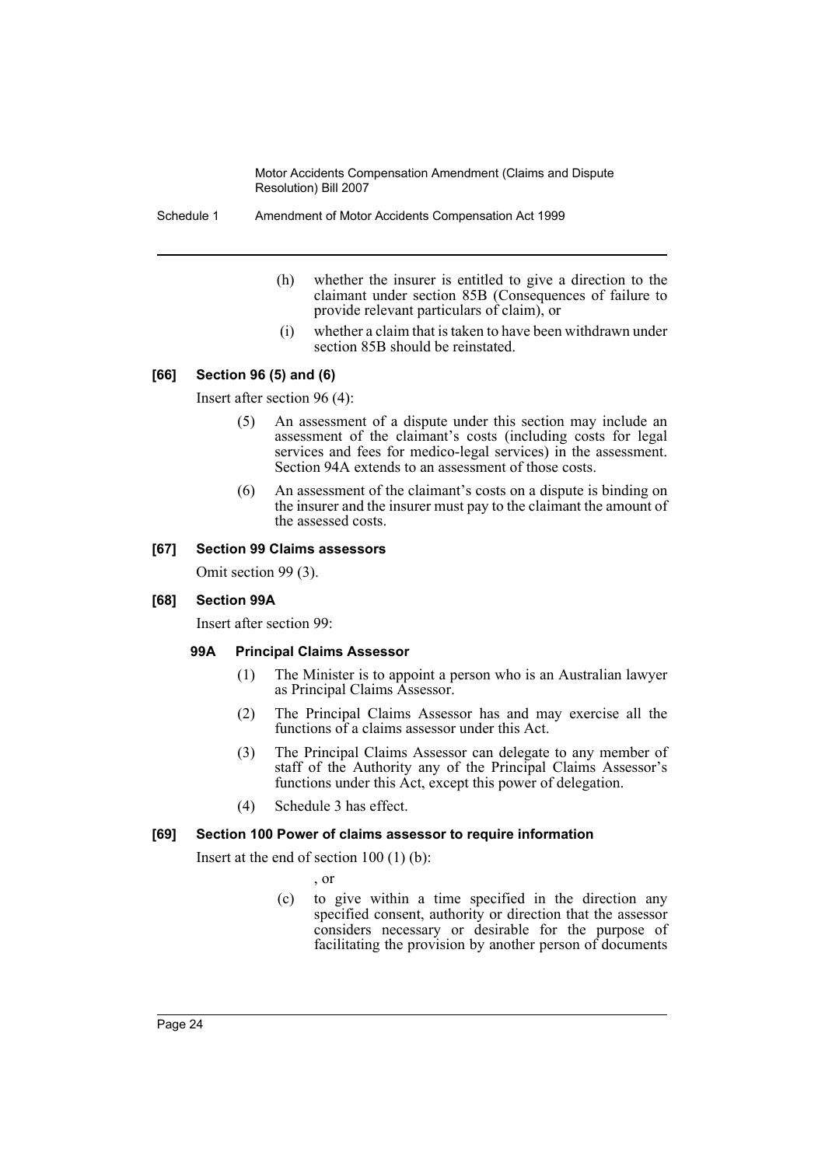Schedule 1 Amendment of Motor Accidents Compensation Act 1999

- (h) whether the insurer is entitled to give a direction to the claimant under section 85B (Consequences of failure to provide relevant particulars of claim), or
- (i) whether a claim that is taken to have been withdrawn under section 85B should be reinstated.

# **[66] Section 96 (5) and (6)**

Insert after section 96 (4):

- (5) An assessment of a dispute under this section may include an assessment of the claimant's costs (including costs for legal services and fees for medico-legal services) in the assessment. Section 94A extends to an assessment of those costs.
- (6) An assessment of the claimant's costs on a dispute is binding on the insurer and the insurer must pay to the claimant the amount of the assessed costs.

# **[67] Section 99 Claims assessors**

Omit section 99 (3).

# **[68] Section 99A**

Insert after section 99:

# **99A Principal Claims Assessor**

- (1) The Minister is to appoint a person who is an Australian lawyer as Principal Claims Assessor.
- (2) The Principal Claims Assessor has and may exercise all the functions of a claims assessor under this Act.
- (3) The Principal Claims Assessor can delegate to any member of staff of the Authority any of the Principal Claims Assessor's functions under this Act, except this power of delegation.
- (4) Schedule 3 has effect.

# **[69] Section 100 Power of claims assessor to require information**

Insert at the end of section 100 (1) (b):

, or

(c) to give within a time specified in the direction any specified consent, authority or direction that the assessor considers necessary or desirable for the purpose of facilitating the provision by another person of documents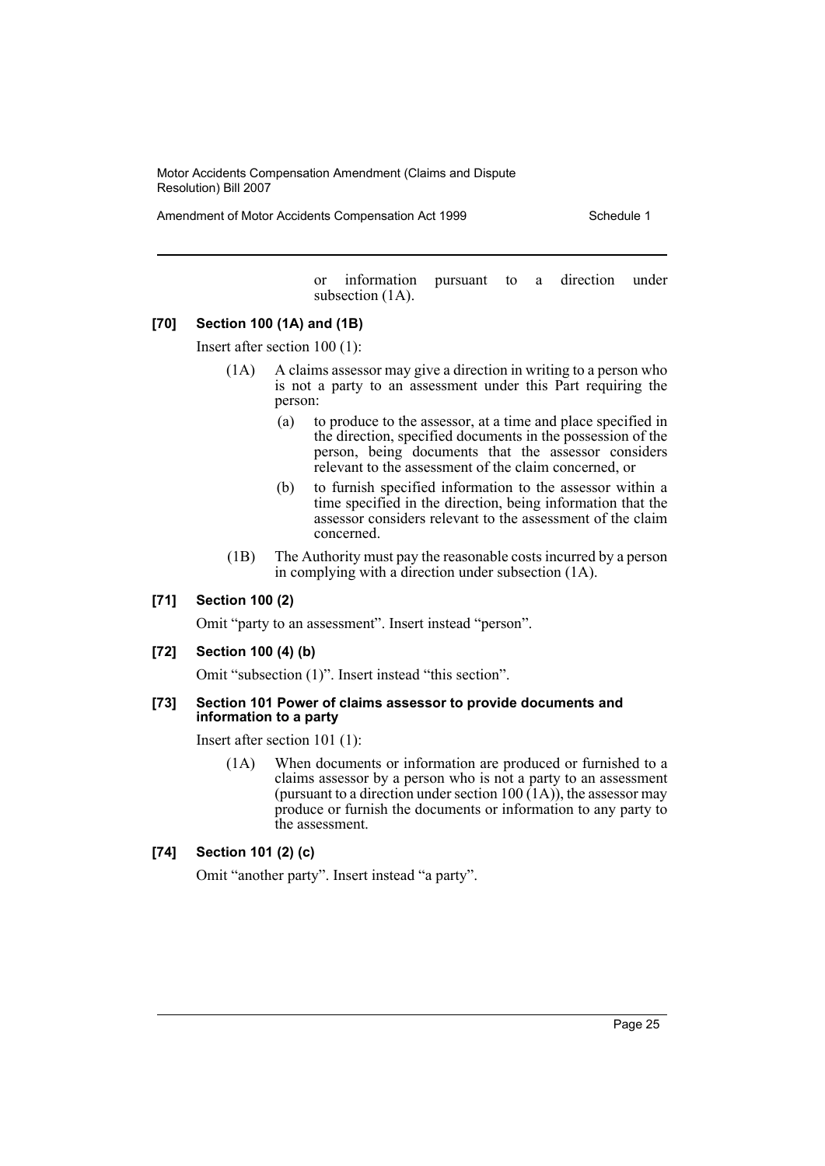Amendment of Motor Accidents Compensation Act 1999 Schedule 1

or information pursuant to a direction under subsection (1A).

#### **[70] Section 100 (1A) and (1B)**

Insert after section 100 (1):

- (1A) A claims assessor may give a direction in writing to a person who is not a party to an assessment under this Part requiring the person:
	- (a) to produce to the assessor, at a time and place specified in the direction, specified documents in the possession of the person, being documents that the assessor considers relevant to the assessment of the claim concerned, or
	- (b) to furnish specified information to the assessor within a time specified in the direction, being information that the assessor considers relevant to the assessment of the claim concerned.
- (1B) The Authority must pay the reasonable costs incurred by a person in complying with a direction under subsection (1A).

#### **[71] Section 100 (2)**

Omit "party to an assessment". Insert instead "person".

#### **[72] Section 100 (4) (b)**

Omit "subsection (1)". Insert instead "this section".

#### **[73] Section 101 Power of claims assessor to provide documents and information to a party**

Insert after section 101 (1):

(1A) When documents or information are produced or furnished to a claims assessor by a person who is not a party to an assessment (pursuant to a direction under section 100  $(1A)$ ), the assessor may produce or furnish the documents or information to any party to the assessment.

# **[74] Section 101 (2) (c)**

Omit "another party". Insert instead "a party".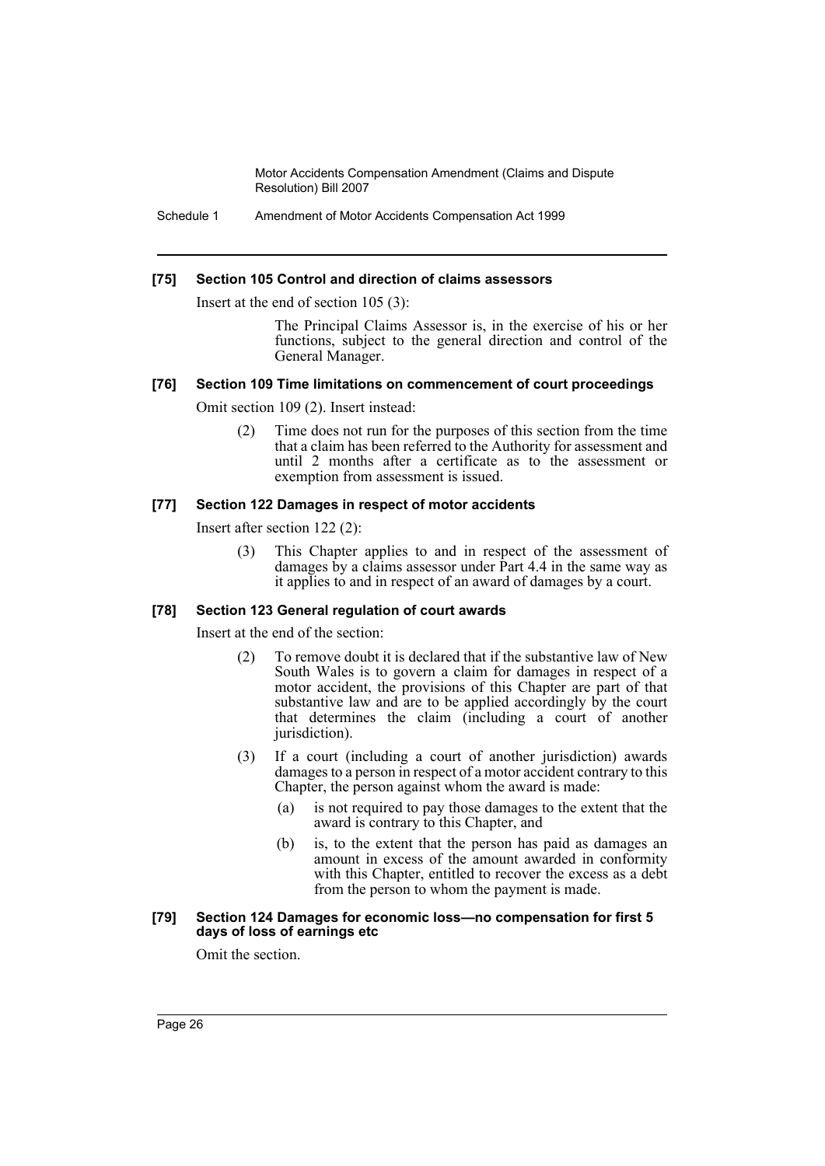Schedule 1 Amendment of Motor Accidents Compensation Act 1999

#### **[75] Section 105 Control and direction of claims assessors**

Insert at the end of section 105 (3):

The Principal Claims Assessor is, in the exercise of his or her functions, subject to the general direction and control of the General Manager.

#### **[76] Section 109 Time limitations on commencement of court proceedings**

Omit section 109 (2). Insert instead:

(2) Time does not run for the purposes of this section from the time that a claim has been referred to the Authority for assessment and until 2 months after a certificate as to the assessment or exemption from assessment is issued.

#### **[77] Section 122 Damages in respect of motor accidents**

Insert after section 122 (2):

(3) This Chapter applies to and in respect of the assessment of damages by a claims assessor under Part 4.4 in the same way as it applies to and in respect of an award of damages by a court.

# **[78] Section 123 General regulation of court awards**

Insert at the end of the section:

- (2) To remove doubt it is declared that if the substantive law of New South Wales is to govern a claim for damages in respect of a motor accident, the provisions of this Chapter are part of that substantive law and are to be applied accordingly by the court that determines the claim (including a court of another jurisdiction).
- (3) If a court (including a court of another jurisdiction) awards damages to a person in respect of a motor accident contrary to this Chapter, the person against whom the award is made:
	- (a) is not required to pay those damages to the extent that the award is contrary to this Chapter, and
	- (b) is, to the extent that the person has paid as damages an amount in excess of the amount awarded in conformity with this Chapter, entitled to recover the excess as a debt from the person to whom the payment is made.

#### **[79] Section 124 Damages for economic loss—no compensation for first 5 days of loss of earnings etc**

Omit the section.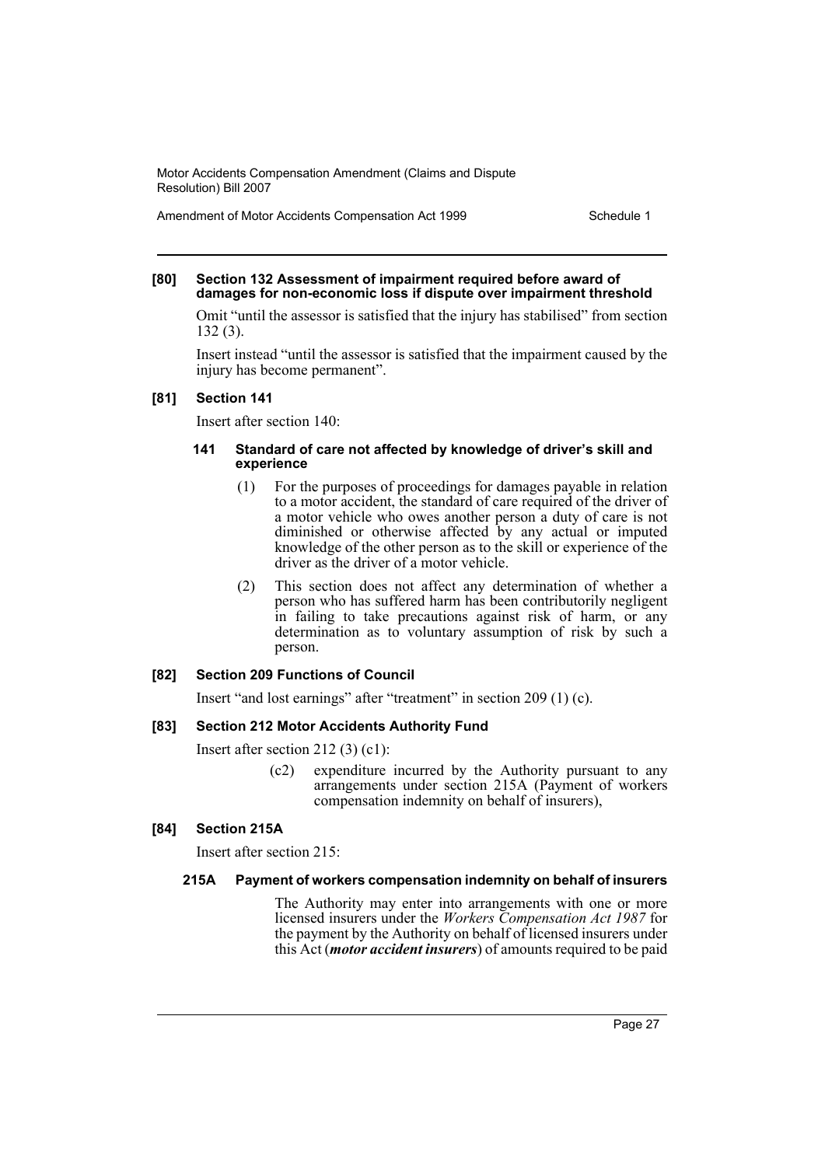Amendment of Motor Accidents Compensation Act 1999 Schedule 1

#### **[80] Section 132 Assessment of impairment required before award of damages for non-economic loss if dispute over impairment threshold**

Omit "until the assessor is satisfied that the injury has stabilised" from section 132 (3).

Insert instead "until the assessor is satisfied that the impairment caused by the injury has become permanent".

#### **[81] Section 141**

Insert after section 140:

#### **141 Standard of care not affected by knowledge of driver's skill and experience**

- (1) For the purposes of proceedings for damages payable in relation to a motor accident, the standard of care required of the driver of a motor vehicle who owes another person a duty of care is not diminished or otherwise affected by any actual or imputed knowledge of the other person as to the skill or experience of the driver as the driver of a motor vehicle.
- (2) This section does not affect any determination of whether a person who has suffered harm has been contributorily negligent in failing to take precautions against risk of harm, or any determination as to voluntary assumption of risk by such a person.

# **[82] Section 209 Functions of Council**

Insert "and lost earnings" after "treatment" in section 209 (1) (c).

# **[83] Section 212 Motor Accidents Authority Fund**

Insert after section 212 (3) (c1):

(c2) expenditure incurred by the Authority pursuant to any arrangements under section 215A (Payment of workers compensation indemnity on behalf of insurers),

# **[84] Section 215A**

Insert after section 215:

#### **215A Payment of workers compensation indemnity on behalf of insurers**

The Authority may enter into arrangements with one or more licensed insurers under the *Workers Compensation Act 1987* for the payment by the Authority on behalf of licensed insurers under this Act (*motor accident insurers*) of amounts required to be paid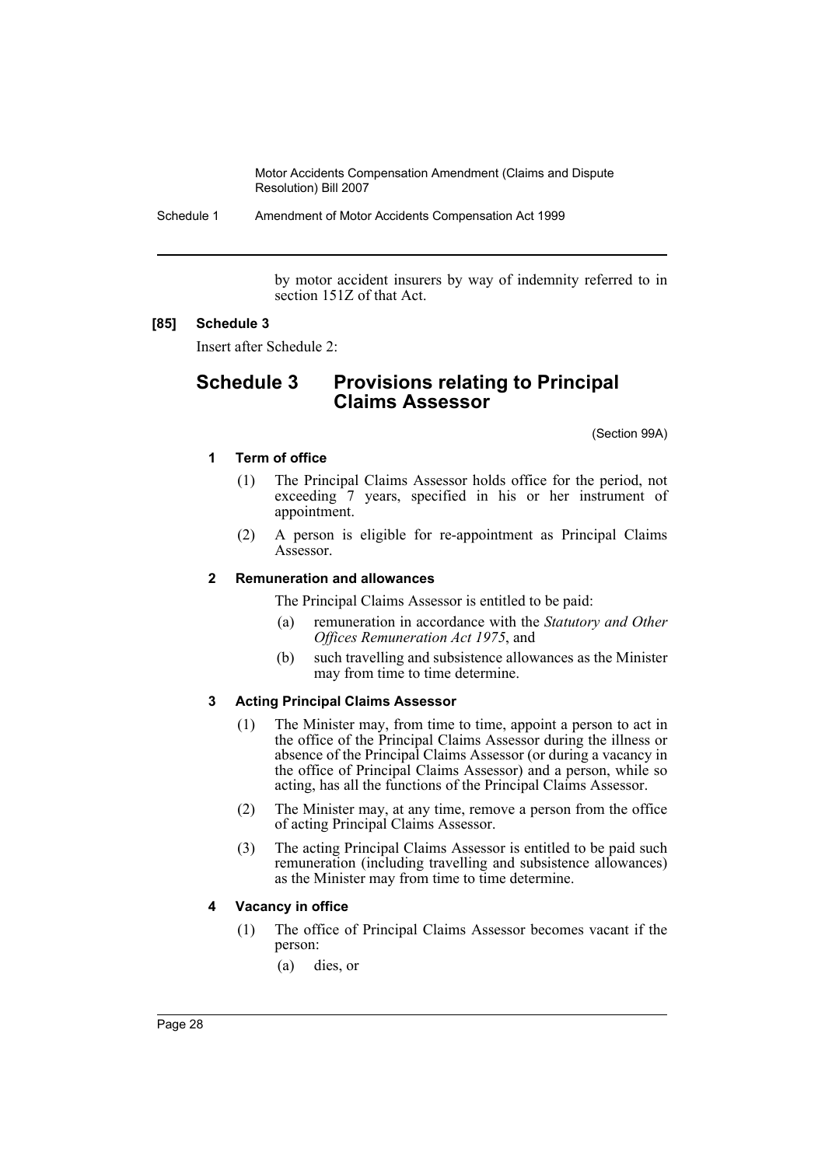Schedule 1 Amendment of Motor Accidents Compensation Act 1999

by motor accident insurers by way of indemnity referred to in section 151Z of that Act.

#### **[85] Schedule 3**

Insert after Schedule 2:

# **Schedule 3 Provisions relating to Principal Claims Assessor**

(Section 99A)

#### **1 Term of office**

- (1) The Principal Claims Assessor holds office for the period, not exceeding 7 years, specified in his or her instrument of appointment.
- (2) A person is eligible for re-appointment as Principal Claims Assessor.

#### **2 Remuneration and allowances**

The Principal Claims Assessor is entitled to be paid:

- (a) remuneration in accordance with the *Statutory and Other Offices Remuneration Act 1975*, and
- (b) such travelling and subsistence allowances as the Minister may from time to time determine.

#### **3 Acting Principal Claims Assessor**

- (1) The Minister may, from time to time, appoint a person to act in the office of the Principal Claims Assessor during the illness or absence of the Principal Claims Assessor (or during a vacancy in the office of Principal Claims Assessor) and a person, while so acting, has all the functions of the Principal Claims Assessor.
- (2) The Minister may, at any time, remove a person from the office of acting Principal Claims Assessor.
- (3) The acting Principal Claims Assessor is entitled to be paid such remuneration (including travelling and subsistence allowances) as the Minister may from time to time determine.

# **4 Vacancy in office**

- (1) The office of Principal Claims Assessor becomes vacant if the person:
	- (a) dies, or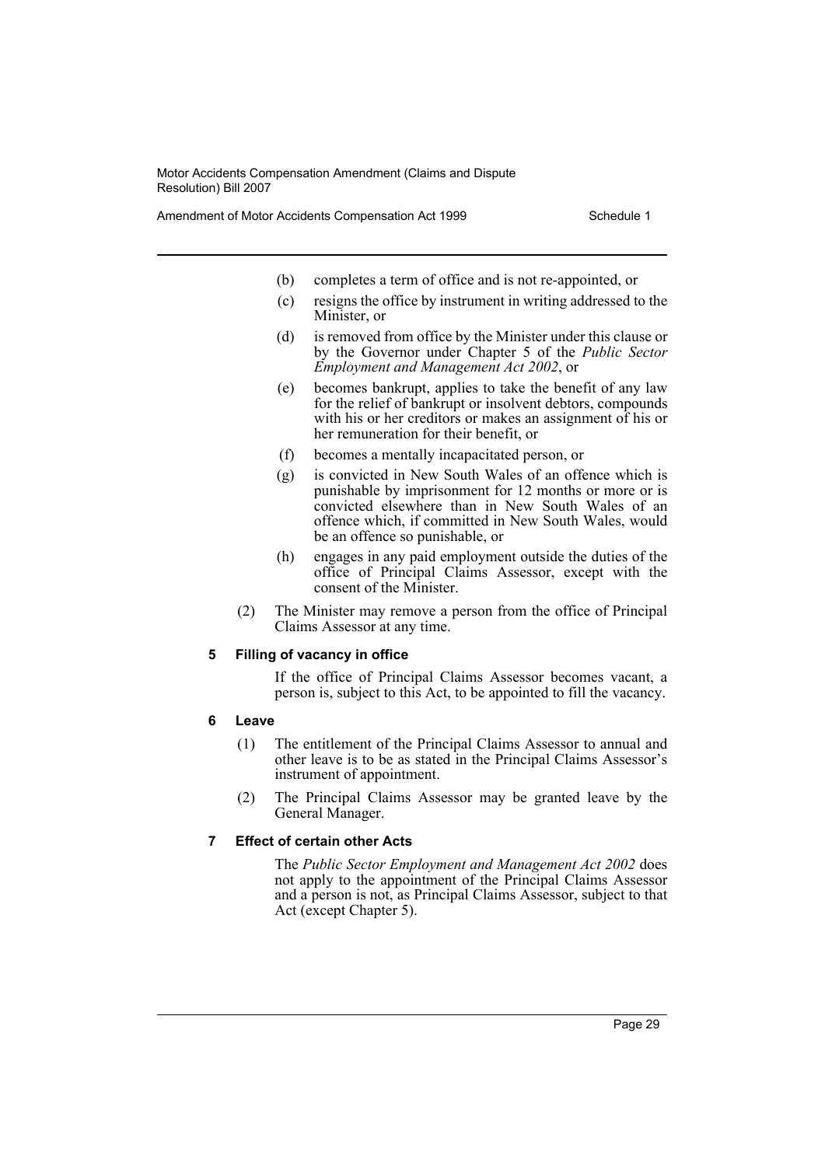Amendment of Motor Accidents Compensation Act 1999 Schedule 1

- (b) completes a term of office and is not re-appointed, or
- (c) resigns the office by instrument in writing addressed to the Minister, or
- (d) is removed from office by the Minister under this clause or by the Governor under Chapter 5 of the *Public Sector Employment and Management Act 2002*, or
- (e) becomes bankrupt, applies to take the benefit of any law for the relief of bankrupt or insolvent debtors, compounds with his or her creditors or makes an assignment of his or her remuneration for their benefit, or
- (f) becomes a mentally incapacitated person, or
- (g) is convicted in New South Wales of an offence which is punishable by imprisonment for 12 months or more or is convicted elsewhere than in New South Wales of an offence which, if committed in New South Wales, would be an offence so punishable, or
- (h) engages in any paid employment outside the duties of the office of Principal Claims Assessor, except with the consent of the Minister.
- (2) The Minister may remove a person from the office of Principal Claims Assessor at any time.

#### **5 Filling of vacancy in office**

If the office of Principal Claims Assessor becomes vacant, a person is, subject to this Act, to be appointed to fill the vacancy.

#### **6 Leave**

- (1) The entitlement of the Principal Claims Assessor to annual and other leave is to be as stated in the Principal Claims Assessor's instrument of appointment.
- (2) The Principal Claims Assessor may be granted leave by the General Manager.

# **7 Effect of certain other Acts**

The *Public Sector Employment and Management Act 2002* does not apply to the appointment of the Principal Claims Assessor and a person is not, as Principal Claims Assessor, subject to that Act (except Chapter 5).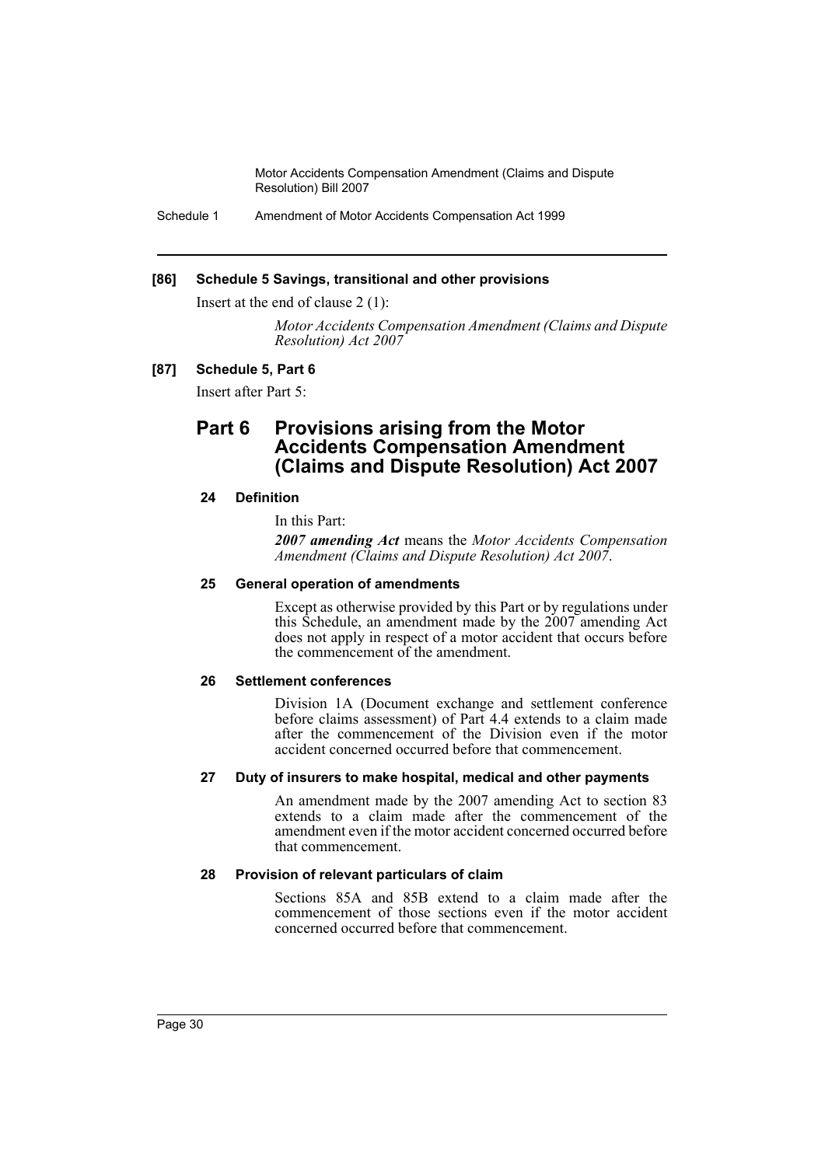Schedule 1 Amendment of Motor Accidents Compensation Act 1999

#### **[86] Schedule 5 Savings, transitional and other provisions**

Insert at the end of clause 2 (1):

*Motor Accidents Compensation Amendment (Claims and Dispute Resolution) Act 2007*

#### **[87] Schedule 5, Part 6**

Insert after Part 5:

# **Part 6 Provisions arising from the Motor Accidents Compensation Amendment (Claims and Dispute Resolution) Act 2007**

#### **24 Definition**

In this Part:

*2007 amending Act* means the *Motor Accidents Compensation Amendment (Claims and Dispute Resolution) Act 2007*.

#### **25 General operation of amendments**

Except as otherwise provided by this Part or by regulations under this Schedule, an amendment made by the 2007 amending Act does not apply in respect of a motor accident that occurs before the commencement of the amendment.

#### **26 Settlement conferences**

Division 1A (Document exchange and settlement conference before claims assessment) of Part 4.4 extends to a claim made after the commencement of the Division even if the motor accident concerned occurred before that commencement.

#### **27 Duty of insurers to make hospital, medical and other payments**

An amendment made by the 2007 amending Act to section 83 extends to a claim made after the commencement of the amendment even if the motor accident concerned occurred before that commencement.

# **28 Provision of relevant particulars of claim**

Sections 85A and 85B extend to a claim made after the commencement of those sections even if the motor accident concerned occurred before that commencement.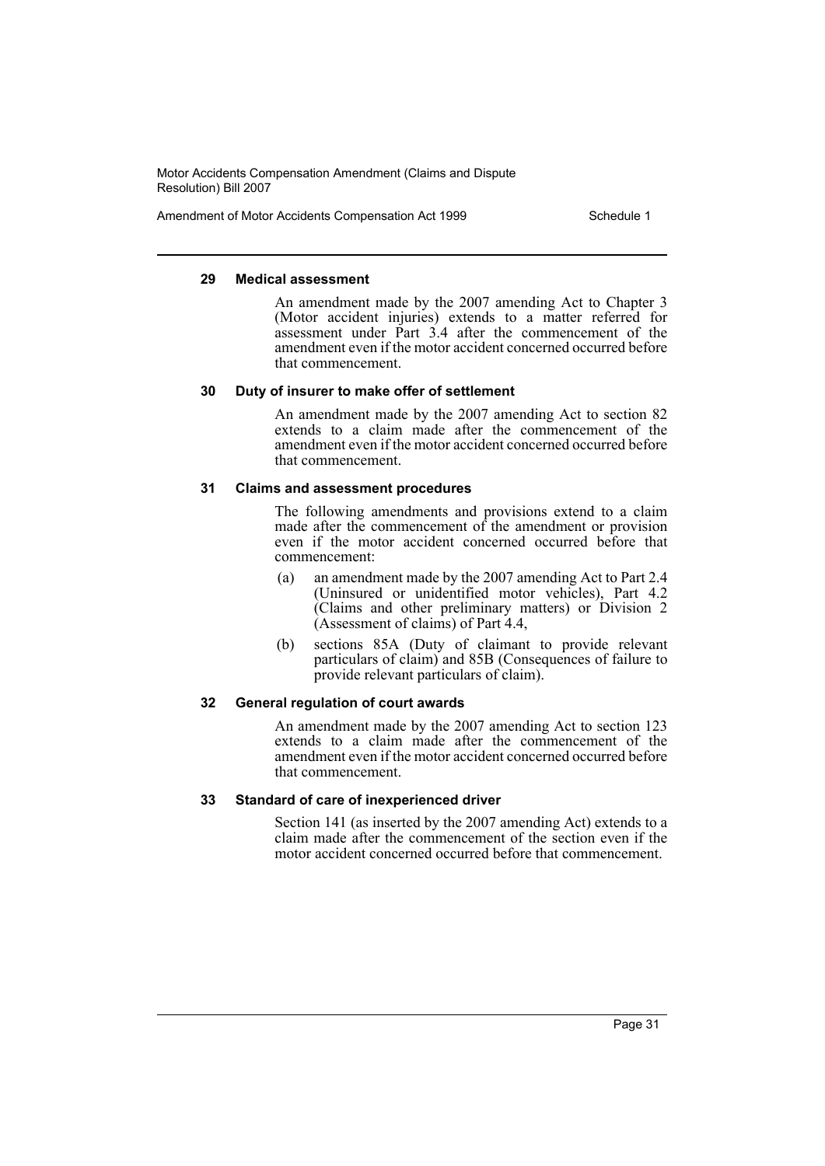Amendment of Motor Accidents Compensation Act 1999 Schedule 1

#### **29 Medical assessment**

An amendment made by the 2007 amending Act to Chapter 3 (Motor accident injuries) extends to a matter referred for assessment under Part 3.4 after the commencement of the amendment even if the motor accident concerned occurred before that commencement.

#### **30 Duty of insurer to make offer of settlement**

An amendment made by the 2007 amending Act to section 82 extends to a claim made after the commencement of the amendment even if the motor accident concerned occurred before that commencement.

#### **31 Claims and assessment procedures**

The following amendments and provisions extend to a claim made after the commencement of the amendment or provision even if the motor accident concerned occurred before that commencement:

- (a) an amendment made by the 2007 amending Act to Part 2.4 (Uninsured or unidentified motor vehicles), Part 4.2 (Claims and other preliminary matters) or Division 2 (Assessment of claims) of Part 4.4,
- (b) sections 85A (Duty of claimant to provide relevant particulars of claim) and 85B (Consequences of failure to provide relevant particulars of claim).

#### **32 General regulation of court awards**

An amendment made by the 2007 amending Act to section 123 extends to a claim made after the commencement of the amendment even if the motor accident concerned occurred before that commencement.

#### **33 Standard of care of inexperienced driver**

Section 141 (as inserted by the 2007 amending Act) extends to a claim made after the commencement of the section even if the motor accident concerned occurred before that commencement.